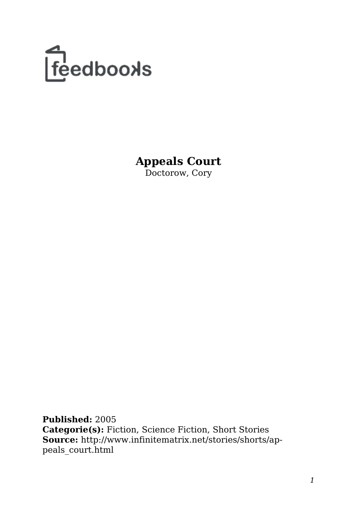

# **Appeals Court**

Doctorow, Cory

**Published:** 2005

**Categorie(s):** Fiction, Science Fiction, Short Stories **Source:** http://www.infinitematrix.net/stories/shorts/appeals\_court.html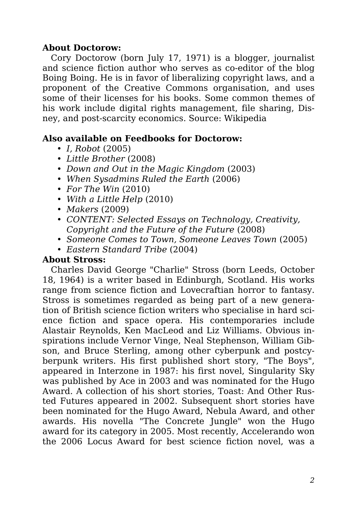### **About Doctorow:**

Cory Doctorow (born July 17, 1971) is a blogger, journalist and science fiction author who serves as co-editor of the blog Boing Boing. He is in favor of liberalizing copyright laws, and a proponent of the Creative Commons organisation, and uses some of their licenses for his books. Some common themes of his work include digital rights management, file sharing, Disney, and post-scarcity economics. Source: Wikipedia

### **Also available on Feedbooks for Doctorow:**

- *[I, Robot](http://generation.feedbooks.com/book/337.pdf)* (2005)
- *[Little Brother](http://generation.feedbooks.com/book/2466.pdf)* (2008)
- *[Down and Out in the Magic Kingdom](http://generation.feedbooks.com/book/194.pdf)* (2003)
- *[When Sysadmins Ruled the Earth](http://generation.feedbooks.com/book/335.pdf)* (2006)
- *[For The Win](http://generation.feedbooks.com/book/4786.pdf)* (2010)
- *[With a Little Help](http://generation.feedbooks.com/book/5460.pdf)* (2010)
- *[Makers](http://generation.feedbooks.com/book/4343.pdf)* (2009)
- *[CONTENT: Selected Essays on Technology, Creativity,](http://generation.feedbooks.com/book/2883.pdf) [Copyright and the Future of the Future](http://generation.feedbooks.com/book/2883.pdf)* (2008)
- *[Someone Comes to Town, Someone Leaves Town](http://generation.feedbooks.com/book/260.pdf)* (2005)
- *[Eastern Standard Tribe](http://generation.feedbooks.com/book/217.pdf)* (2004)

# **About Stross:**

Charles David George "Charlie" Stross (born Leeds, October 18, 1964) is a writer based in Edinburgh, Scotland. His works range from science fiction and Lovecraftian horror to fantasy. Stross is sometimes regarded as being part of a new generation of British science fiction writers who specialise in hard science fiction and space opera. His contemporaries include Alastair Reynolds, Ken MacLeod and Liz Williams. Obvious inspirations include Vernor Vinge, Neal Stephenson, William Gibson, and Bruce Sterling, among other cyberpunk and postcyberpunk writers. His first published short story, "The Boys", appeared in Interzone in 1987: his first novel, Singularity Sky was published by Ace in 2003 and was nominated for the Hugo Award. A collection of his short stories, Toast: And Other Rusted Futures appeared in 2002. Subsequent short stories have been nominated for the Hugo Award, Nebula Award, and other awards. His novella "The Concrete Jungle" won the Hugo award for its category in 2005. Most recently, Accelerando won the 2006 Locus Award for best science fiction novel, was a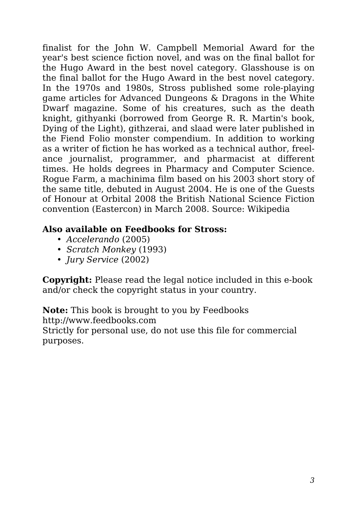finalist for the John W. Campbell Memorial Award for the year's best science fiction novel, and was on the final ballot for the Hugo Award in the best novel category. Glasshouse is on the final ballot for the Hugo Award in the best novel category. In the 1970s and 1980s, Stross published some role-playing game articles for Advanced Dungeons & Dragons in the White Dwarf magazine. Some of his creatures, such as the death knight, githyanki (borrowed from George R. R. Martin's book, Dying of the Light), githzerai, and slaad were later published in the Fiend Folio monster compendium. In addition to working as a writer of fiction he has worked as a technical author, freelance journalist, programmer, and pharmacist at different times. He holds degrees in Pharmacy and Computer Science. Rogue Farm, a machinima film based on his 2003 short story of the same title, debuted in August 2004. He is one of the Guests of Honour at Orbital 2008 the British National Science Fiction convention (Eastercon) in March 2008. Source: Wikipedia

# **Also available on Feedbooks for Stross:**

- *[Accelerando](http://generation.feedbooks.com/book/228.pdf)* (2005)
- *[Scratch Monkey](http://generation.feedbooks.com/book/229.pdf)* (1993)
- *[Jury Service](http://generation.feedbooks.com/book/4795.pdf)* (2002)

**Copyright:** Please read the legal notice included in this e-book and/or check the copyright status in your country.

**Note:** This book is brought to you by Feedbooks

<http://www.feedbooks.com>

Strictly for personal use, do not use this file for commercial purposes.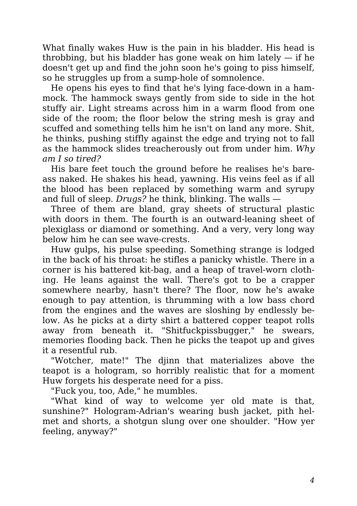What finally wakes Huw is the pain in his bladder. His head is throbbing, but his bladder has gone weak on him lately  $-$  if he doesn't get up and find the john soon he's going to piss himself, so he struggles up from a sump-hole of somnolence.

He opens his eyes to find that he's lying face-down in a hammock. The hammock sways gently from side to side in the hot stuffy air. Light streams across him in a warm flood from one side of the room; the floor below the string mesh is gray and scuffed and something tells him he isn't on land any more. Shit, he thinks, pushing stiffly against the edge and trying not to fall as the hammock slides treacherously out from under him. *Why am I so tired?*

His bare feet touch the ground before he realises he's bareass naked. He shakes his head, yawning. His veins feel as if all the blood has been replaced by something warm and syrupy and full of sleep. *Drugs?* he think, blinking. The walls —

Three of them are bland, gray sheets of structural plastic with doors in them. The fourth is an outward-leaning sheet of plexiglass or diamond or something. And a very, very long way below him he can see wave-crests.

Huw gulps, his pulse speeding. Something strange is lodged in the back of his throat: he stifles a panicky whistle. There in a corner is his battered kit-bag, and a heap of travel-worn clothing. He leans against the wall. There's got to be a crapper somewhere nearby, hasn't there? The floor, now he's awake enough to pay attention, is thrumming with a low bass chord from the engines and the waves are sloshing by endlessly below. As he picks at a dirty shirt a battered copper teapot rolls away from beneath it. "Shitfuckpissbugger," he swears, memories flooding back. Then he picks the teapot up and gives it a resentful rub.

"Wotcher, mate!" The djinn that materializes above the teapot is a hologram, so horribly realistic that for a moment Huw forgets his desperate need for a piss.

"Fuck you, too, Ade," he mumbles.

"What kind of way to welcome yer old mate is that, sunshine?" Hologram-Adrian's wearing bush jacket, pith helmet and shorts, a shotgun slung over one shoulder. "How yer feeling, anyway?"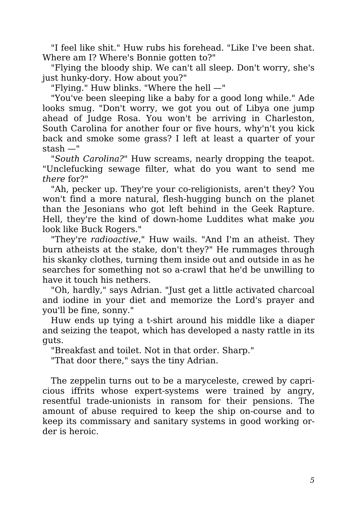"I feel like shit." Huw rubs his forehead. "Like I've been shat. Where am I? Where's Bonnie gotten to?"

"Flying the bloody ship. We can't all sleep. Don't worry, she's just hunky-dory. How about you?"

"Flying." Huw blinks. "Where the hell —"

"You've been sleeping like a baby for a good long while." Ade looks smug. "Don't worry, we got you out of Libya one jump ahead of Judge Rosa. You won't be arriving in Charleston, South Carolina for another four or five hours, why'n't you kick back and smoke some grass? I left at least a quarter of your stash —"

"*South Carolina?*" Huw screams, nearly dropping the teapot. "Unclefucking sewage filter, what do you want to send me *there* for?"

"Ah, pecker up. They're your co-religionists, aren't they? You won't find a more natural, flesh-hugging bunch on the planet than the Jesonians who got left behind in the Geek Rapture. Hell, they're the kind of down-home Luddites what make *you* look like Buck Rogers."

"They're *radioactive*," Huw wails. "And I'm an atheist. They burn atheists at the stake, don't they?" He rummages through his skanky clothes, turning them inside out and outside in as he searches for something not so a-crawl that he'd be unwilling to have it touch his nethers.

"Oh, hardly," says Adrian. "Just get a little activated charcoal and iodine in your diet and memorize the Lord's prayer and you'll be fine, sonny."

Huw ends up tying a t-shirt around his middle like a diaper and seizing the teapot, which has developed a nasty rattle in its guts.

"Breakfast and toilet. Not in that order. Sharp."

"That door there," says the tiny Adrian.

The zeppelin turns out to be a maryceleste, crewed by capricious iffrits whose expert-systems were trained by angry, resentful trade-unionists in ransom for their pensions. The amount of abuse required to keep the ship on-course and to keep its commissary and sanitary systems in good working order is heroic.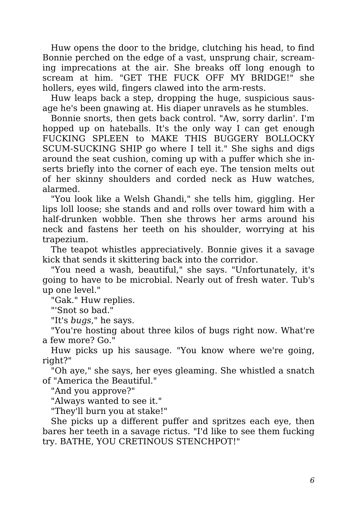Huw opens the door to the bridge, clutching his head, to find Bonnie perched on the edge of a vast, unsprung chair, screaming imprecations at the air. She breaks off long enough to scream at him. "GET THE FUCK OFF MY BRIDGE!" she hollers, eyes wild, fingers clawed into the arm-rests.

Huw leaps back a step, dropping the huge, suspicious sausage he's been gnawing at. His diaper unravels as he stumbles.

Bonnie snorts, then gets back control. "Aw, sorry darlin'. I'm hopped up on hateballs. It's the only way I can get enough FUCKING SPLEEN to MAKE THIS BUGGERY BOLLOCKY SCUM-SUCKING SHIP go where I tell it." She sighs and digs around the seat cushion, coming up with a puffer which she inserts briefly into the corner of each eye. The tension melts out of her skinny shoulders and corded neck as Huw watches, alarmed.

"You look like a Welsh Ghandi," she tells him, giggling. Her lips loll loose; she stands and and rolls over toward him with a half-drunken wobble. Then she throws her arms around his neck and fastens her teeth on his shoulder, worrying at his trapezium.

The teapot whistles appreciatively. Bonnie gives it a savage kick that sends it skittering back into the corridor.

"You need a wash, beautiful," she says. "Unfortunately, it's going to have to be microbial. Nearly out of fresh water. Tub's up one level."

"Gak." Huw replies.

"'Snot so bad."

"It's *bugs*," he says.

"You're hosting about three kilos of bugs right now. What're a few more? Go."

Huw picks up his sausage. "You know where we're going, right?"

"Oh aye," she says, her eyes gleaming. She whistled a snatch of "America the Beautiful."

"And you approve?"

"Always wanted to see it."

"They'll burn you at stake!"

She picks up a different puffer and spritzes each eye, then bares her teeth in a savage rictus. "I'd like to see them fucking try. BATHE, YOU CRETINOUS STENCHPOT!"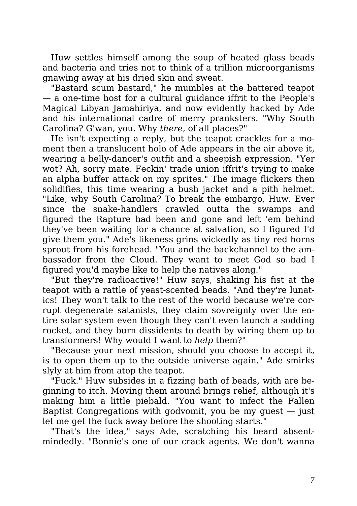Huw settles himself among the soup of heated glass beads and bacteria and tries not to think of a trillion microorganisms gnawing away at his dried skin and sweat.

"Bastard scum bastard," he mumbles at the battered teapot — a one-time host for a cultural guidance iffrit to the People's Magical Libyan Jamahiriya, and now evidently hacked by Ade and his international cadre of merry pranksters. "Why South Carolina? G'wan, you. Why *there*, of all places?"

He isn't expecting a reply, but the teapot crackles for a moment then a translucent holo of Ade appears in the air above it, wearing a belly-dancer's outfit and a sheepish expression. "Yer wot? Ah, sorry mate. Feckin' trade union iffrit's trying to make an alpha buffer attack on my sprites." The image flickers then solidifies, this time wearing a bush jacket and a pith helmet. "Like, why South Carolina? To break the embargo, Huw. Ever since the snake-handlers crawled outta the swamps and figured the Rapture had been and gone and left 'em behind they've been waiting for a chance at salvation, so I figured I'd give them you." Ade's likeness grins wickedly as tiny red horns sprout from his forehead. "You and the backchannel to the ambassador from the Cloud. They want to meet God so bad I figured you'd maybe like to help the natives along."

"But they're radioactive!" Huw says, shaking his fist at the teapot with a rattle of yeast-scented beads. "And they're lunatics! They won't talk to the rest of the world because we're corrupt degenerate satanists, they claim sovreignty over the entire solar system even though they can't even launch a sodding rocket, and they burn dissidents to death by wiring them up to transformers! Why would I want to *help* them?"

"Because your next mission, should you choose to accept it, is to open them up to the outside universe again." Ade smirks slyly at him from atop the teapot.

"Fuck." Huw subsides in a fizzing bath of beads, with are beginning to itch. Moving them around brings relief, although it's making him a little piebald. "You want to infect the Fallen Baptist Congregations with godvomit, you be my guest — just let me get the fuck away before the shooting starts."

"That's the idea," says Ade, scratching his beard absentmindedly. "Bonnie's one of our crack agents. We don't wanna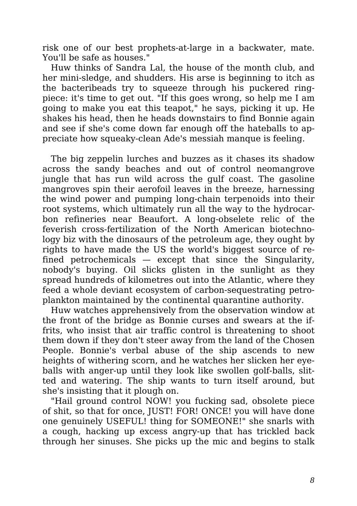risk one of our best prophets-at-large in a backwater, mate. You'll be safe as houses."

Huw thinks of Sandra Lal, the house of the month club, and her mini-sledge, and shudders. His arse is beginning to itch as the bacteribeads try to squeeze through his puckered ringpiece: it's time to get out. "If this goes wrong, so help me I am going to make you eat this teapot," he says, picking it up. He shakes his head, then he heads downstairs to find Bonnie again and see if she's come down far enough off the hateballs to appreciate how squeaky-clean Ade's messiah manque is feeling.

The big zeppelin lurches and buzzes as it chases its shadow across the sandy beaches and out of control neomangrove jungle that has run wild across the gulf coast. The gasoline mangroves spin their aerofoil leaves in the breeze, harnessing the wind power and pumping long-chain terpenoids into their root systems, which ultimately run all the way to the hydrocarbon refineries near Beaufort. A long-obselete relic of the feverish cross-fertilization of the North American biotechnology biz with the dinosaurs of the petroleum age, they ought by rights to have made the US the world's biggest source of refined petrochemicals — except that since the Singularity, nobody's buying. Oil slicks glisten in the sunlight as they spread hundreds of kilometres out into the Atlantic, where they feed a whole deviant ecosystem of carbon-sequestrating petroplankton maintained by the continental quarantine authority.

Huw watches apprehensively from the observation window at the front of the bridge as Bonnie curses and swears at the iffrits, who insist that air traffic control is threatening to shoot them down if they don't steer away from the land of the Chosen People. Bonnie's verbal abuse of the ship ascends to new heights of withering scorn, and he watches her slicken her eyeballs with anger-up until they look like swollen golf-balls, slitted and watering. The ship wants to turn itself around, but she's insisting that it plough on.

"Hail ground control NOW! you fucking sad, obsolete piece of shit, so that for once, JUST! FOR! ONCE! you will have done one genuinely USEFUL! thing for SOMEONE!" she snarls with a cough, hacking up excess angry-up that has trickled back through her sinuses. She picks up the mic and begins to stalk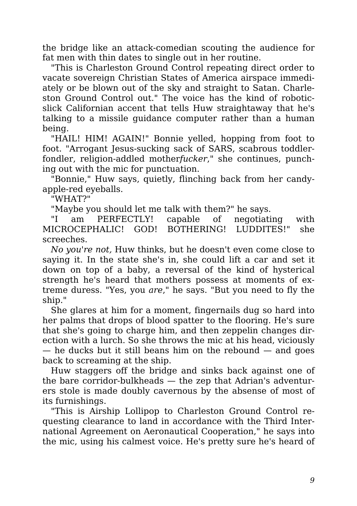the bridge like an attack-comedian scouting the audience for fat men with thin dates to single out in her routine.

"This is Charleston Ground Control repeating direct order to vacate sovereign Christian States of America airspace immediately or be blown out of the sky and straight to Satan. Charleston Ground Control out." The voice has the kind of roboticslick Californian accent that tells Huw straightaway that he's talking to a missile guidance computer rather than a human being.

"HAIL! HIM! AGAIN!" Bonnie yelled, hopping from foot to foot. "Arrogant Jesus-sucking sack of SARS, scabrous toddlerfondler, religion-addled mother*fucker*," she continues, punching out with the mic for punctuation.

"Bonnie," Huw says, quietly, flinching back from her candyapple-red eyeballs.

"WHAT?"

"Maybe you should let me talk with them?" he says.

"I am PERFECTLY! capable of negotiating with MICROCEPHALIC! GOD! BOTHERING! LUDDITES!" she screeches.

*No you're not,* Huw thinks, but he doesn't even come close to saying it. In the state she's in, she could lift a car and set it down on top of a baby, a reversal of the kind of hysterical strength he's heard that mothers possess at moments of extreme duress. "Yes, you *are*," he says. "But you need to fly the ship."

She glares at him for a moment, fingernails dug so hard into her palms that drops of blood spatter to the flooring. He's sure that she's going to charge him, and then zeppelin changes direction with a lurch. So she throws the mic at his head, viciously — he ducks but it still beans him on the rebound — and goes back to screaming at the ship.

Huw staggers off the bridge and sinks back against one of the bare corridor-bulkheads — the zep that Adrian's adventurers stole is made doubly cavernous by the absense of most of its furnishings.

"This is Airship Lollipop to Charleston Ground Control requesting clearance to land in accordance with the Third International Agreement on Aeronautical Cooperation," he says into the mic, using his calmest voice. He's pretty sure he's heard of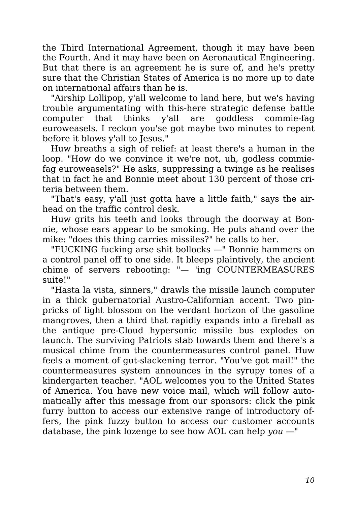the Third International Agreement, though it may have been the Fourth. And it may have been on Aeronautical Engineering. But that there is an agreement he is sure of, and he's pretty sure that the Christian States of America is no more up to date on international affairs than he is.

"Airship Lollipop, y'all welcome to land here, but we's having trouble argumentating with this-here strategic defense battle computer that thinks y'all are goddless commie-fag euroweasels. I reckon you'se got maybe two minutes to repent before it blows y'all to Jesus."

Huw breaths a sigh of relief: at least there's a human in the loop. "How do we convince it we're not, uh, godless commiefag euroweasels?" He asks, suppressing a twinge as he realises that in fact he and Bonnie meet about 130 percent of those criteria between them.

"That's easy, y'all just gotta have a little faith," says the airhead on the traffic control desk.

Huw grits his teeth and looks through the doorway at Bonnie, whose ears appear to be smoking. He puts ahand over the mike: "does this thing carries missiles?" he calls to her.

"FUCKING fucking arse shit bollocks —" Bonnie hammers on a control panel off to one side. It bleeps plaintively, the ancient chime of servers rebooting: "— 'ing COUNTERMEASURES suite!"

"Hasta la vista, sinners," drawls the missile launch computer in a thick gubernatorial Austro-Californian accent. Two pinpricks of light blossom on the verdant horizon of the gasoline mangroves, then a third that rapidly expands into a fireball as the antique pre-Cloud hypersonic missile bus explodes on launch. The surviving Patriots stab towards them and there's a musical chime from the countermeasures control panel. Huw feels a moment of gut-slackening terror. "You've got mail!" the countermeasures system announces in the syrupy tones of a kindergarten teacher. "AOL welcomes you to the United States of America. You have new voice mail, which will follow automatically after this message from our sponsors: click the pink furry button to access our extensive range of introductory offers, the pink fuzzy button to access our customer accounts database, the pink lozenge to see how AOL can help *you* —"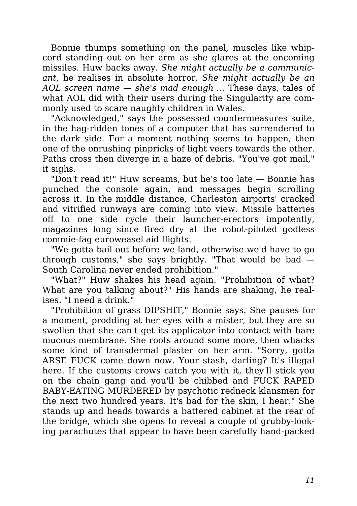Bonnie thumps something on the panel, muscles like whipcord standing out on her arm as she glares at the oncoming missiles. Huw backs away. *She might actually be a communicant*, he realises in absolute horror. *She might actually be an AOL screen name — she's mad enough …* These days, tales of what AOL did with their users during the Singularity are commonly used to scare naughty children in Wales.

"Acknowledged," says the possessed countermeasures suite, in the hag-ridden tones of a computer that has surrendered to the dark side. For a moment nothing seems to happen, then one of the onrushing pinpricks of light veers towards the other. Paths cross then diverge in a haze of debris. "You've got mail," it sighs.

"Don't read it!" Huw screams, but he's too late — Bonnie has punched the console again, and messages begin scrolling across it. In the middle distance, Charleston airports' cracked and vitrified runways are coming into view. Missile batteries off to one side cycle their launcher-erectors impotently, magazines long since fired dry at the robot-piloted godless commie-fag euroweasel aid flights.

"We gotta bail out before we land, otherwise we'd have to go through customs," she says brightly. "That would be bad — South Carolina never ended prohibition."

"What?" Huw shakes his head again. "Prohibition of what? What are you talking about?" His hands are shaking, he realises. "I need a drink."

"Prohibition of grass DIPSHIT," Bonnie says. She pauses for a moment, prodding at her eyes with a mister, but they are so swollen that she can't get its applicator into contact with bare mucous membrane. She roots around some more, then whacks some kind of transdermal plaster on her arm. "Sorry, gotta ARSE FUCK come down now. Your stash, darling? It's illegal here. If the customs crows catch you with it, they'll stick you on the chain gang and you'll be chibbed and FUCK RAPED BABY-EATING MURDERED by psychotic redneck klansmen for the next two hundred years. It's bad for the skin, I hear." She stands up and heads towards a battered cabinet at the rear of the bridge, which she opens to reveal a couple of grubby-looking parachutes that appear to have been carefully hand-packed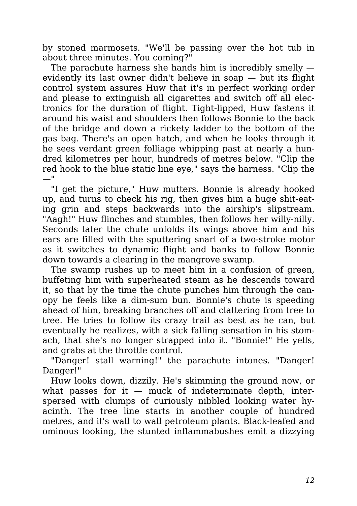by stoned marmosets. "We'll be passing over the hot tub in about three minutes. You coming?"

The parachute harness she hands him is incredibly smelly evidently its last owner didn't believe in soap — but its flight control system assures Huw that it's in perfect working order and please to extinguish all cigarettes and switch off all electronics for the duration of flight. Tight-lipped, Huw fastens it around his waist and shoulders then follows Bonnie to the back of the bridge and down a rickety ladder to the bottom of the gas bag. There's an open hatch, and when he looks through it he sees verdant green folliage whipping past at nearly a hundred kilometres per hour, hundreds of metres below. "Clip the red hook to the blue static line eye," says the harness. "Clip the —"

"I get the picture," Huw mutters. Bonnie is already hooked up, and turns to check his rig, then gives him a huge shit-eating grin and steps backwards into the airship's slipstream. "Aagh!" Huw flinches and stumbles, then follows her willy-nilly. Seconds later the chute unfolds its wings above him and his ears are filled with the sputtering snarl of a two-stroke motor as it switches to dynamic flight and banks to follow Bonnie down towards a clearing in the mangrove swamp.

The swamp rushes up to meet him in a confusion of green, buffeting him with superheated steam as he descends toward it, so that by the time the chute punches him through the canopy he feels like a dim-sum bun. Bonnie's chute is speeding ahead of him, breaking branches off and clattering from tree to tree. He tries to follow its crazy trail as best as he can, but eventually he realizes, with a sick falling sensation in his stomach, that she's no longer strapped into it. "Bonnie!" He yells, and grabs at the throttle control.

"Danger! stall warning!" the parachute intones. "Danger! Danger!"

Huw looks down, dizzily. He's skimming the ground now, or what passes for it  $-$  muck of indeterminate depth, interspersed with clumps of curiously nibbled looking water hyacinth. The tree line starts in another couple of hundred metres, and it's wall to wall petroleum plants. Black-leafed and ominous looking, the stunted inflammabushes emit a dizzying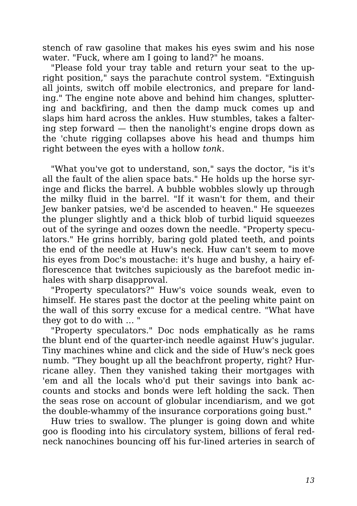stench of raw gasoline that makes his eyes swim and his nose water. "Fuck, where am I going to land?" he moans.

"Please fold your tray table and return your seat to the upright position," says the parachute control system. "Extinguish all joints, switch off mobile electronics, and prepare for landing." The engine note above and behind him changes, spluttering and backfiring, and then the damp muck comes up and slaps him hard across the ankles. Huw stumbles, takes a faltering step forward — then the nanolight's engine drops down as the 'chute rigging collapses above his head and thumps him right between the eyes with a hollow *tonk*.

"What you've got to understand, son," says the doctor, "is it's all the fault of the alien space bats." He holds up the horse syringe and flicks the barrel. A bubble wobbles slowly up through the milky fluid in the barrel. "If it wasn't for them, and their Jew banker patsies, we'd be ascended to heaven." He squeezes the plunger slightly and a thick blob of turbid liquid squeezes out of the syringe and oozes down the needle. "Property speculators." He grins horribly, baring gold plated teeth, and points the end of the needle at Huw's neck. Huw can't seem to move his eyes from Doc's moustache: it's huge and bushy, a hairy efflorescence that twitches supiciously as the barefoot medic inhales with sharp disapproval.

"Property speculators?" Huw's voice sounds weak, even to himself. He stares past the doctor at the peeling white paint on the wall of this sorry excuse for a medical centre. "What have they got to do with … "

"Property speculators." Doc nods emphatically as he rams the blunt end of the quarter-inch needle against Huw's jugular. Tiny machines whine and click and the side of Huw's neck goes numb. "They bought up all the beachfront property, right? Hurricane alley. Then they vanished taking their mortgages with 'em and all the locals who'd put their savings into bank accounts and stocks and bonds were left holding the sack. Then the seas rose on account of globular incendiarism, and we got the double-whammy of the insurance corporations going bust."

Huw tries to swallow. The plunger is going down and white goo is flooding into his circulatory system, billions of feral redneck nanochines bouncing off his fur-lined arteries in search of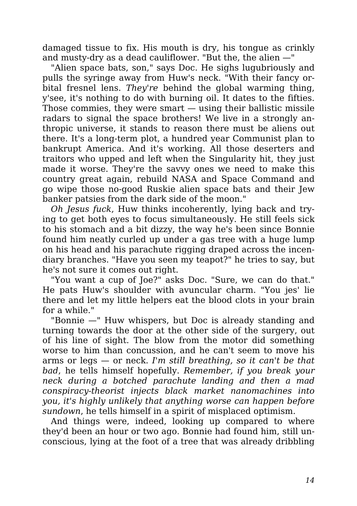damaged tissue to fix. His mouth is dry, his tongue as crinkly and musty-dry as a dead cauliflower. "But the, the alien —"

"Alien space bats, son," says Doc. He sighs lugubriously and pulls the syringe away from Huw's neck. "With their fancy orbital fresnel lens. *They're* behind the global warming thing, y'see, it's nothing to do with burning oil. It dates to the fifties. Those commies, they were smart — using their ballistic missile radars to signal the space brothers! We live in a strongly anthropic universe, it stands to reason there must be aliens out there. It's a long-term plot, a hundred year Communist plan to bankrupt America. And it's working. All those deserters and traitors who upped and left when the Singularity hit, they just made it worse. They're the savvy ones we need to make this country great again, rebuild NASA and Space Command and go wipe those no-good Ruskie alien space bats and their Jew banker patsies from the dark side of the moon."

*Oh Jesus fuck*, Huw thinks incoherently, lying back and trying to get both eyes to focus simultaneously. He still feels sick to his stomach and a bit dizzy, the way he's been since Bonnie found him neatly curled up under a gas tree with a huge lump on his head and his parachute rigging draped across the incendiary branches. "Have you seen my teapot?" he tries to say, but he's not sure it comes out right.

"You want a cup of Joe?" asks Doc. "Sure, we can do that." He pats Huw's shoulder with avuncular charm. "You jes' lie there and let my little helpers eat the blood clots in your brain for a while."

"Bonnie —" Huw whispers, but Doc is already standing and turning towards the door at the other side of the surgery, out of his line of sight. The blow from the motor did something worse to him than concussion, and he can't seem to move his arms or legs — or neck. *I'm still breathing, so it can't be that bad*, he tells himself hopefully. *Remember, if you break your neck during a botched parachute landing and then a mad conspiracy-theorist injects black market nanomachines into you, it's highly unlikely that anything worse can happen before sundown*, he tells himself in a spirit of misplaced optimism.

And things were, indeed, looking up compared to where they'd been an hour or two ago. Bonnie had found him, still unconscious, lying at the foot of a tree that was already dribbling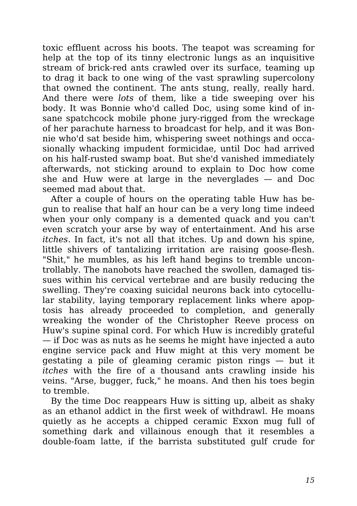toxic effluent across his boots. The teapot was screaming for help at the top of its tinny electronic lungs as an inquisitive stream of brick-red ants crawled over its surface, teaming up to drag it back to one wing of the vast sprawling supercolony that owned the continent. The ants stung, really, really hard. And there were *lots* of them, like a tide sweeping over his body. It was Bonnie who'd called Doc, using some kind of insane spatchcock mobile phone jury-rigged from the wreckage of her parachute harness to broadcast for help, and it was Bonnie who'd sat beside him, whispering sweet nothings and occasionally whacking impudent formicidae, until Doc had arrived on his half-rusted swamp boat. But she'd vanished immediately afterwards, not sticking around to explain to Doc how come she and Huw were at large in the neverglades — and Doc seemed mad about that.

After a couple of hours on the operating table Huw has begun to realise that half an hour can be a very long time indeed when your only company is a demented quack and you can't even scratch your arse by way of entertainment. And his arse *itches*. In fact, it's not all that itches. Up and down his spine, little shivers of tantalizing irritation are raising goose-flesh. "Shit," he mumbles, as his left hand begins to tremble uncontrollably. The nanobots have reached the swollen, damaged tissues within his cervical vertebrae and are busily reducing the swelling. They're coaxing suicidal neurons back into cytocellular stability, laying temporary replacement links where apoptosis has already proceeded to completion, and generally wreaking the wonder of the Christopher Reeve process on Huw's supine spinal cord. For which Huw is incredibly grateful — if Doc was as nuts as he seems he might have injected a auto engine service pack and Huw might at this very moment be gestating a pile of gleaming ceramic piston rings — but it *itches* with the fire of a thousand ants crawling inside his veins. "Arse, bugger, fuck," he moans. And then his toes begin to tremble.

By the time Doc reappears Huw is sitting up, albeit as shaky as an ethanol addict in the first week of withdrawl. He moans quietly as he accepts a chipped ceramic Exxon mug full of something dark and villainous enough that it resembles a double-foam latte, if the barrista substituted gulf crude for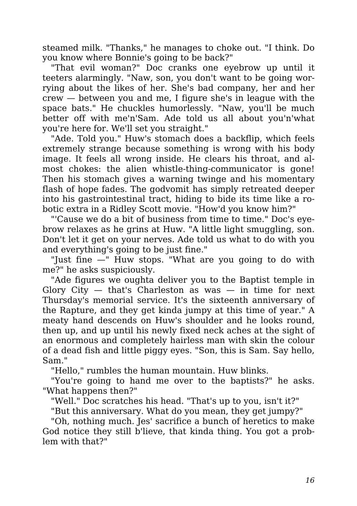steamed milk. "Thanks," he manages to choke out. "I think. Do you know where Bonnie's going to be back?"

"That evil woman?" Doc cranks one eyebrow up until it teeters alarmingly. "Naw, son, you don't want to be going worrying about the likes of her. She's bad company, her and her crew — between you and me, I figure she's in league with the space bats." He chuckles humorlessly. "Naw, you'll be much better off with me'n'Sam. Ade told us all about you'n'what you're here for. We'll set you straight."

"Ade. Told you." Huw's stomach does a backflip, which feels extremely strange because something is wrong with his body image. It feels all wrong inside. He clears his throat, and almost chokes: the alien whistle-thing-communicator is gone! Then his stomach gives a warning twinge and his momentary flash of hope fades. The godvomit has simply retreated deeper into his gastrointestinal tract, hiding to bide its time like a robotic extra in a Ridley Scott movie. "How'd you know him?"

"'Cause we do a bit of business from time to time." Doc's eyebrow relaxes as he grins at Huw. "A little light smuggling, son. Don't let it get on your nerves. Ade told us what to do with you and everything's going to be just fine."

"Just fine —" Huw stops. "What are you going to do with me?" he asks suspiciously.

"Ade figures we oughta deliver you to the Baptist temple in Glory City  $-$  that's Charleston as was  $-$  in time for next Thursday's memorial service. It's the sixteenth anniversary of the Rapture, and they get kinda jumpy at this time of year." A meaty hand descends on Huw's shoulder and he looks round, then up, and up until his newly fixed neck aches at the sight of an enormous and completely hairless man with skin the colour of a dead fish and little piggy eyes. "Son, this is Sam. Say hello, Sam."

"Hello," rumbles the human mountain. Huw blinks.

"You're going to hand me over to the baptists?" he asks. "What happens then?"

"Well." Doc scratches his head. "That's up to you, isn't it?"

"But this anniversary. What do you mean, they get jumpy?"

"Oh, nothing much. Jes' sacrifice a bunch of heretics to make God notice they still b'lieve, that kinda thing. You got a problem with that?"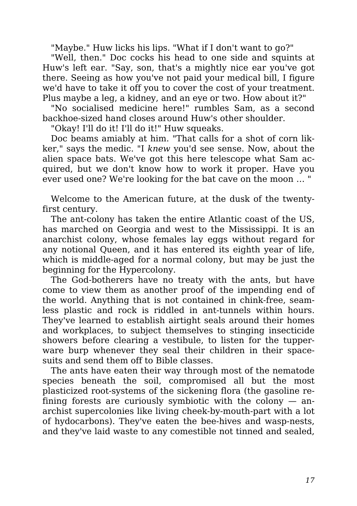"Maybe." Huw licks his lips. "What if I don't want to go?"

"Well, then." Doc cocks his head to one side and squints at Huw's left ear. "Say, son, that's a mightly nice ear you've got there. Seeing as how you've not paid your medical bill, I figure we'd have to take it off you to cover the cost of your treatment. Plus maybe a leg, a kidney, and an eye or two. How about it?"

"No socialised medicine here!" rumbles Sam, as a second backhoe-sized hand closes around Huw's other shoulder.

"Okay! I'll do it! I'll do it!" Huw squeaks.

Doc beams amiably at him. "That calls for a shot of corn likker," says the medic. "I *knew* you'd see sense. Now, about the alien space bats. We've got this here telescope what Sam acquired, but we don't know how to work it proper. Have you ever used one? We're looking for the bat cave on the moon … "

Welcome to the American future, at the dusk of the twentyfirst century.

The ant-colony has taken the entire Atlantic coast of the US, has marched on Georgia and west to the Mississippi. It is an anarchist colony, whose females lay eggs without regard for any notional Queen, and it has entered its eighth year of life, which is middle-aged for a normal colony, but may be just the beginning for the Hypercolony.

The God-botherers have no treaty with the ants, but have come to view them as another proof of the impending end of the world. Anything that is not contained in chink-free, seamless plastic and rock is riddled in ant-tunnels within hours. They've learned to establish airtight seals around their homes and workplaces, to subject themselves to stinging insecticide showers before clearing a vestibule, to listen for the tupperware burp whenever they seal their children in their spacesuits and send them off to Bible classes.

The ants have eaten their way through most of the nematode species beneath the soil, compromised all but the most plasticized root-systems of the sickening flora (the gasoline refining forests are curiously symbiotic with the colony — anarchist supercolonies like living cheek-by-mouth-part with a lot of hydocarbons). They've eaten the bee-hives and wasp-nests, and they've laid waste to any comestible not tinned and sealed,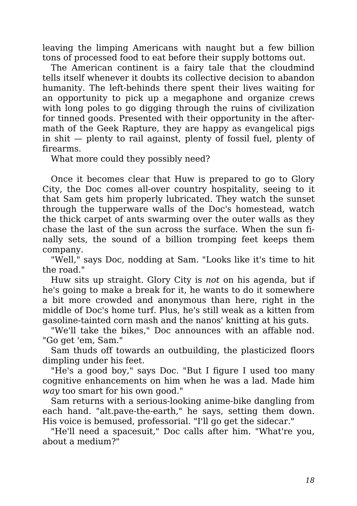leaving the limping Americans with naught but a few billion tons of processed food to eat before their supply bottoms out.

The American continent is a fairy tale that the cloudmind tells itself whenever it doubts its collective decision to abandon humanity. The left-behinds there spent their lives waiting for an opportunity to pick up a megaphone and organize crews with long poles to go digging through the ruins of civilization for tinned goods. Presented with their opportunity in the aftermath of the Geek Rapture, they are happy as evangelical pigs in shit — plenty to rail against, plenty of fossil fuel, plenty of firearms.

What more could they possibly need?

Once it becomes clear that Huw is prepared to go to Glory City, the Doc comes all-over country hospitality, seeing to it that Sam gets him properly lubricated. They watch the sunset through the tupperware walls of the Doc's homestead, watch the thick carpet of ants swarming over the outer walls as they chase the last of the sun across the surface. When the sun finally sets, the sound of a billion tromping feet keeps them company.

"Well," says Doc, nodding at Sam. "Looks like it's time to hit the road."

Huw sits up straight. Glory City is *not* on his agenda, but if he's going to make a break for it, he wants to do it somewhere a bit more crowded and anonymous than here, right in the middle of Doc's home turf. Plus, he's still weak as a kitten from gasoline-tainted corn mash and the nanos' knitting at his guts.

"We'll take the bikes," Doc announces with an affable nod. "Go get 'em, Sam."

Sam thuds off towards an outbuilding, the plasticized floors dimpling under his feet.

"He's a good boy," says Doc. "But I figure I used too many cognitive enhancements on him when he was a lad. Made him *way* too smart for his own good."

Sam returns with a serious-looking anime-bike dangling from each hand. "alt.pave-the-earth," he says, setting them down. His voice is bemused, professorial. "I'll go get the sidecar."

"He'll need a spacesuit," Doc calls after him. "What're you, about a medium?"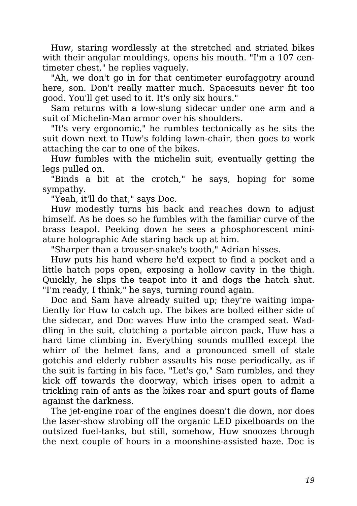Huw, staring wordlessly at the stretched and striated bikes with their angular mouldings, opens his mouth. "I'm a 107 centimeter chest," he replies vaguely.

"Ah, we don't go in for that centimeter eurofaggotry around here, son. Don't really matter much. Spacesuits never fit too good. You'll get used to it. It's only six hours."

Sam returns with a low-slung sidecar under one arm and a suit of Michelin-Man armor over his shoulders.

"It's very ergonomic," he rumbles tectonically as he sits the suit down next to Huw's folding lawn-chair, then goes to work attaching the car to one of the bikes.

Huw fumbles with the michelin suit, eventually getting the legs pulled on.

"Binds a bit at the crotch," he says, hoping for some sympathy.

"Yeah, it'll do that," says Doc.

Huw modestly turns his back and reaches down to adjust himself. As he does so he fumbles with the familiar curve of the brass teapot. Peeking down he sees a phosphorescent miniature holographic Ade staring back up at him.

"Sharper than a trouser-snake's tooth," Adrian hisses.

Huw puts his hand where he'd expect to find a pocket and a little hatch pops open, exposing a hollow cavity in the thigh. Quickly, he slips the teapot into it and dogs the hatch shut. "I'm ready, I think," he says, turning round again.

Doc and Sam have already suited up; they're waiting impatiently for Huw to catch up. The bikes are bolted either side of the sidecar, and Doc waves Huw into the cramped seat. Waddling in the suit, clutching a portable aircon pack, Huw has a hard time climbing in. Everything sounds muffled except the whirr of the helmet fans, and a pronounced smell of stale gotchis and elderly rubber assaults his nose periodically, as if the suit is farting in his face. "Let's go," Sam rumbles, and they kick off towards the doorway, which irises open to admit a trickling rain of ants as the bikes roar and spurt gouts of flame against the darkness.

The jet-engine roar of the engines doesn't die down, nor does the laser-show strobing off the organic LED pixelboards on the outsized fuel-tanks, but still, somehow, Huw snoozes through the next couple of hours in a moonshine-assisted haze. Doc is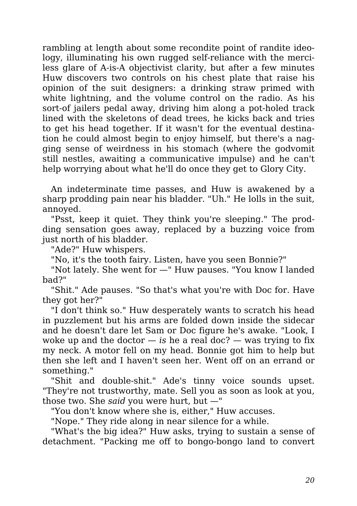rambling at length about some recondite point of randite ideology, illuminating his own rugged self-reliance with the merciless glare of A-is-A objectivist clarity, but after a few minutes Huw discovers two controls on his chest plate that raise his opinion of the suit designers: a drinking straw primed with white lightning, and the volume control on the radio. As his sort-of jailers pedal away, driving him along a pot-holed track lined with the skeletons of dead trees, he kicks back and tries to get his head together. If it wasn't for the eventual destination he could almost begin to enjoy himself, but there's a nagging sense of weirdness in his stomach (where the godvomit still nestles, awaiting a communicative impulse) and he can't help worrying about what he'll do once they get to Glory City.

An indeterminate time passes, and Huw is awakened by a sharp prodding pain near his bladder. "Uh." He lolls in the suit, annoyed.

"Psst, keep it quiet. They think you're sleeping." The prodding sensation goes away, replaced by a buzzing voice from just north of his bladder.

"Ade?" Huw whispers.

"No, it's the tooth fairy. Listen, have you seen Bonnie?"

"Not lately. She went for —" Huw pauses. "You know I landed bad?"

"Shit." Ade pauses. "So that's what you're with Doc for. Have they got her?"

"I don't think so." Huw desperately wants to scratch his head in puzzlement but his arms are folded down inside the sidecar and he doesn't dare let Sam or Doc figure he's awake. "Look, I woke up and the doctor  $-$  *is* he a real doc?  $-$  was trying to fix my neck. A motor fell on my head. Bonnie got him to help but then she left and I haven't seen her. Went off on an errand or something."

"Shit and double-shit." Ade's tinny voice sounds upset. "They're not trustworthy, mate. Sell you as soon as look at you, those two. She *said* you were hurt, but —"

"You don't know where she is, either," Huw accuses.

"Nope." They ride along in near silence for a while.

"What's the big idea?" Huw asks, trying to sustain a sense of detachment. "Packing me off to bongo-bongo land to convert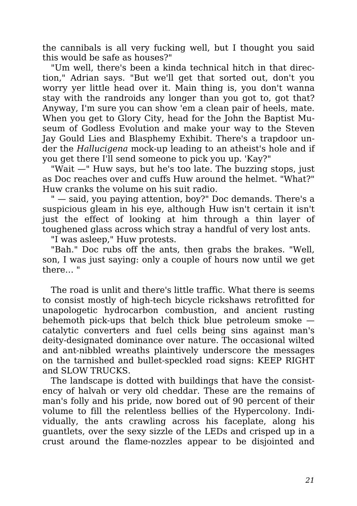the cannibals is all very fucking well, but I thought you said this would be safe as houses?"

"Um well, there's been a kinda technical hitch in that direction," Adrian says. "But we'll get that sorted out, don't you worry yer little head over it. Main thing is, you don't wanna stay with the randroids any longer than you got to, got that? Anyway, I'm sure you can show 'em a clean pair of heels, mate. When you get to Glory City, head for the John the Baptist Museum of Godless Evolution and make your way to the Steven Jay Gould Lies and Blasphemy Exhibit. There's a trapdoor under the *Hallucigena* mock-up leading to an atheist's hole and if you get there I'll send someone to pick you up. 'Kay?"

"Wait —" Huw says, but he's too late. The buzzing stops, just as Doc reaches over and cuffs Huw around the helmet. "What?" Huw cranks the volume on his suit radio.

" — said, you paying attention, boy?" Doc demands. There's a suspicious gleam in his eye, although Huw isn't certain it isn't just the effect of looking at him through a thin layer of toughened glass across which stray a handful of very lost ants.

"I was asleep," Huw protests.

"Bah." Doc rubs off the ants, then grabs the brakes. "Well, son, I was just saying: only a couple of hours now until we get there… "

The road is unlit and there's little traffic. What there is seems to consist mostly of high-tech bicycle rickshaws retrofitted for unapologetic hydrocarbon combustion, and ancient rusting behemoth pick-ups that belch thick blue petroleum smoke catalytic converters and fuel cells being sins against man's deity-designated dominance over nature. The occasional wilted and ant-nibbled wreaths plaintively underscore the messages on the tarnished and bullet-speckled road signs: KEEP RIGHT and SLOW TRUCKS.

The landscape is dotted with buildings that have the consistency of halvah or very old cheddar. These are the remains of man's folly and his pride, now bored out of 90 percent of their volume to fill the relentless bellies of the Hypercolony. Individually, the ants crawling across his faceplate, along his guantlets, over the sexy sizzle of the LEDs and crisped up in a crust around the flame-nozzles appear to be disjointed and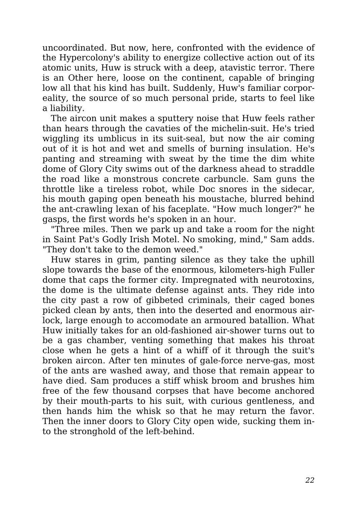uncoordinated. But now, here, confronted with the evidence of the Hypercolony's ability to energize collective action out of its atomic units, Huw is struck with a deep, atavistic terror. There is an Other here, loose on the continent, capable of bringing low all that his kind has built. Suddenly, Huw's familiar corporeality, the source of so much personal pride, starts to feel like a liability.

The aircon unit makes a sputtery noise that Huw feels rather than hears through the cavaties of the michelin-suit. He's tried wiggling its umblicus in its suit-seal, but now the air coming out of it is hot and wet and smells of burning insulation. He's panting and streaming with sweat by the time the dim white dome of Glory City swims out of the darkness ahead to straddle the road like a monstrous concrete carbuncle. Sam guns the throttle like a tireless robot, while Doc snores in the sidecar, his mouth gaping open beneath his moustache, blurred behind the ant-crawling lexan of his faceplate. "How much longer?" he gasps, the first words he's spoken in an hour.

"Three miles. Then we park up and take a room for the night in Saint Pat's Godly Irish Motel. No smoking, mind," Sam adds. "They don't take to the demon weed."

Huw stares in grim, panting silence as they take the uphill slope towards the base of the enormous, kilometers-high Fuller dome that caps the former city. Impregnated with neurotoxins, the dome is the ultimate defense against ants. They ride into the city past a row of gibbeted criminals, their caged bones picked clean by ants, then into the deserted and enormous airlock, large enough to accomodate an armoured batallion. What Huw initially takes for an old-fashioned air-shower turns out to be a gas chamber, venting something that makes his throat close when he gets a hint of a whiff of it through the suit's broken aircon. After ten minutes of gale-force nerve-gas, most of the ants are washed away, and those that remain appear to have died. Sam produces a stiff whisk broom and brushes him free of the few thousand corpses that have become anchored by their mouth-parts to his suit, with curious gentleness, and then hands him the whisk so that he may return the favor. Then the inner doors to Glory City open wide, sucking them into the stronghold of the left-behind.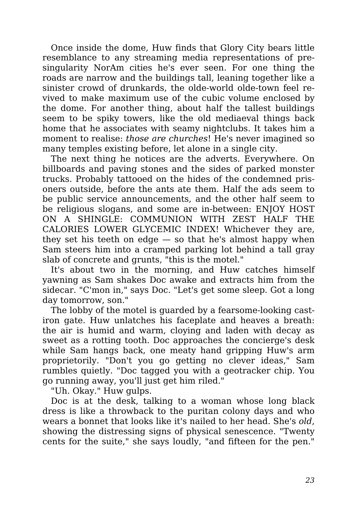Once inside the dome, Huw finds that Glory City bears little resemblance to any streaming media representations of presingularity NorAm cities he's ever seen. For one thing the roads are narrow and the buildings tall, leaning together like a sinister crowd of drunkards, the olde-world olde-town feel revived to make maximum use of the cubic volume enclosed by the dome. For another thing, about half the tallest buildings seem to be spiky towers, like the old mediaeval things back home that he associates with seamy nightclubs. It takes him a moment to realise: *those are churches*! He's never imagined so many temples existing before, let alone in a single city.

The next thing he notices are the adverts. Everywhere. On billboards and paving stones and the sides of parked monster trucks. Probably tattooed on the hides of the condemned prisoners outside, before the ants ate them. Half the ads seem to be public service announcements, and the other half seem to be religious slogans, and some are in-between: ENJOY HOST ON A SHINGLE: COMMUNION WITH ZEST HALF THE CALORIES LOWER GLYCEMIC INDEX! Whichever they are, they set his teeth on edge — so that he's almost happy when Sam steers him into a cramped parking lot behind a tall gray slab of concrete and grunts, "this is the motel."

It's about two in the morning, and Huw catches himself yawning as Sam shakes Doc awake and extracts him from the sidecar. "C'mon in," says Doc. "Let's get some sleep. Got a long day tomorrow, son."

The lobby of the motel is guarded by a fearsome-looking castiron gate. Huw unlatches his faceplate and heaves a breath: the air is humid and warm, cloying and laden with decay as sweet as a rotting tooth. Doc approaches the concierge's desk while Sam hangs back, one meaty hand gripping Huw's arm proprietorily. "Don't you go getting no clever ideas," Sam rumbles quietly. "Doc tagged you with a geotracker chip. You go running away, you'll just get him riled."

"Uh. Okay." Huw gulps.

Doc is at the desk, talking to a woman whose long black dress is like a throwback to the puritan colony days and who wears a bonnet that looks like it's nailed to her head. She's *old*, showing the distressing signs of physical senescence. "Twenty cents for the suite," she says loudly, "and fifteen for the pen."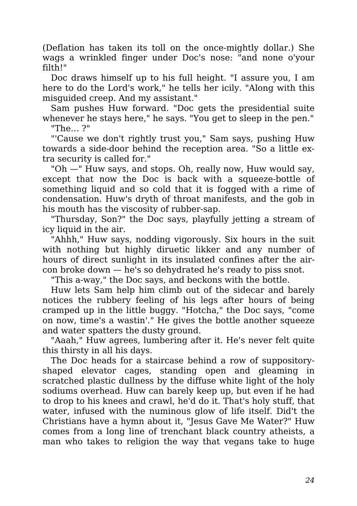(Deflation has taken its toll on the once-mightly dollar.) She wags a wrinkled finger under Doc's nose: "and none o'your filth!"

Doc draws himself up to his full height. "I assure you, I am here to do the Lord's work," he tells her icily. "Along with this misguided creep. And my assistant."

Sam pushes Huw forward. "Doc gets the presidential suite whenever he stays here," he says. "You get to sleep in the pen."

"The… ?"

"'Cause we don't rightly trust you," Sam says, pushing Huw towards a side-door behind the reception area. "So a little extra security is called for."

"Oh —" Huw says, and stops. Oh, really now, Huw would say, except that now the Doc is back with a squeeze-bottle of something liquid and so cold that it is fogged with a rime of condensation. Huw's dryth of throat manifests, and the gob in his mouth has the viscosity of rubber-sap.

"Thursday, Son?" the Doc says, playfully jetting a stream of icy liquid in the air.

"Ahhh," Huw says, nodding vigorously. Six hours in the suit with nothing but highly diruetic likker and any number of hours of direct sunlight in its insulated confines after the aircon broke down — he's so dehydrated he's ready to piss snot.

"This a-way," the Doc says, and beckons with the bottle.

Huw lets Sam help him climb out of the sidecar and barely notices the rubbery feeling of his legs after hours of being cramped up in the little buggy. "Hotcha," the Doc says, "come on now, time's a wastin'." He gives the bottle another squeeze and water spatters the dusty ground.

"Aaah," Huw agrees, lumbering after it. He's never felt quite this thirsty in all his days.

The Doc heads for a staircase behind a row of suppositoryshaped elevator cages, standing open and gleaming in scratched plastic dullness by the diffuse white light of the holy sodiums overhead. Huw can barely keep up, but even if he had to drop to his knees and crawl, he'd do it. That's holy stuff, that water, infused with the numinous glow of life itself. Did't the Christians have a hymn about it, "Jesus Gave Me Water?" Huw comes from a long line of trenchant black country atheists, a man who takes to religion the way that vegans take to huge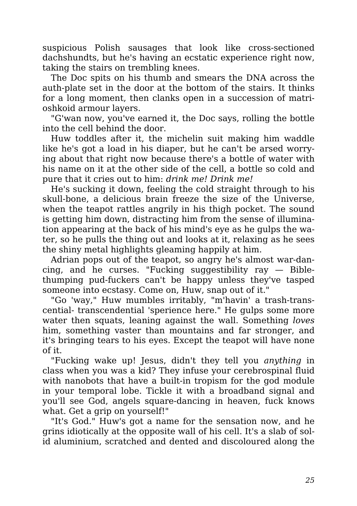suspicious Polish sausages that look like cross-sectioned dachshundts, but he's having an ecstatic experience right now, taking the stairs on trembling knees.

The Doc spits on his thumb and smears the DNA across the auth-plate set in the door at the bottom of the stairs. It thinks for a long moment, then clanks open in a succession of matrioshkoid armour layers.

"G'wan now, you've earned it, the Doc says, rolling the bottle into the cell behind the door.

Huw toddles after it, the michelin suit making him waddle like he's got a load in his diaper, but he can't be arsed worrying about that right now because there's a bottle of water with his name on it at the other side of the cell, a bottle so cold and pure that it cries out to him: *drink me! Drink me!*

He's sucking it down, feeling the cold straight through to his skull-bone, a delicious brain freeze the size of the Universe, when the teapot rattles angrily in his thigh pocket. The sound is getting him down, distracting him from the sense of illumination appearing at the back of his mind's eye as he gulps the water, so he pulls the thing out and looks at it, relaxing as he sees the shiny metal highlights gleaming happily at him.

Adrian pops out of the teapot, so angry he's almost war-dancing, and he curses. "Fucking suggestibility ray — Biblethumping pud-fuckers can't be happy unless they've tasped someone into ecstasy. Come on, Huw, snap out of it."

"Go 'way," Huw mumbles irritably, "m'havin' a trash-transcential- transcendential 'sperience here." He gulps some more water then squats, leaning against the wall. Something *loves* him, something vaster than mountains and far stronger, and it's bringing tears to his eyes. Except the teapot will have none of it.

"Fucking wake up! Jesus, didn't they tell you *anything* in class when you was a kid? They infuse your cerebrospinal fluid with nanobots that have a built-in tropism for the god module in your temporal lobe. Tickle it with a broadband signal and you'll see God, angels square-dancing in heaven, fuck knows what. Get a grip on yourself!"

"It's God." Huw's got a name for the sensation now, and he grins idiotically at the opposite wall of his cell. It's a slab of solid aluminium, scratched and dented and discoloured along the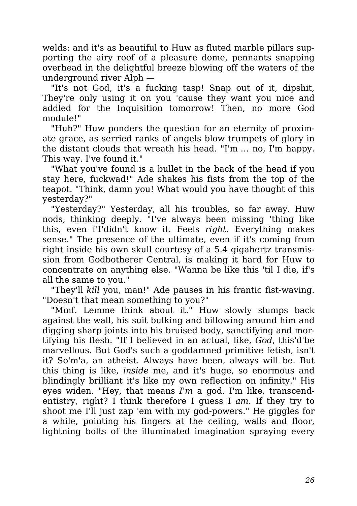welds: and it's as beautiful to Huw as fluted marble pillars supporting the airy roof of a pleasure dome, pennants snapping overhead in the delightful breeze blowing off the waters of the underground river Alph —

"It's not God, it's a fucking tasp! Snap out of it, dipshit, They're only using it on you 'cause they want you nice and addled for the Inquisition tomorrow! Then, no more God module!"

"Huh?" Huw ponders the question for an eternity of proximate grace, as serried ranks of angels blow trumpets of glory in the distant clouds that wreath his head. "I'm … no, I'm happy. This way. I've found it."

"What you've found is a bullet in the back of the head if you stay here, fuckwad!" Ade shakes his fists from the top of the teapot. "Think, damn you! What would you have thought of this yesterday?"

"Yesterday?" Yesterday, all his troubles, so far away. Huw nods, thinking deeply. "I've always been missing 'thing like this, even f'I'didn't know it. Feels *right*. Everything makes sense." The presence of the ultimate, even if it's coming from right inside his own skull courtesy of a 5.4 gigahertz transmission from Godbotherer Central, is making it hard for Huw to concentrate on anything else. "Wanna be like this 'til I die, if's all the same to you."

"They'll *kill* you, man!" Ade pauses in his frantic fist-waving. "Doesn't that mean something to you?"

"Mmf. Lemme think about it." Huw slowly slumps back against the wall, his suit bulking and billowing around him and digging sharp joints into his bruised body, sanctifying and mortifying his flesh. "If I believed in an actual, like, *God*, this'd'be marvellous. But God's such a goddamned primitive fetish, isn't it? So'm'a, an atheist. Always have been, always will be. But this thing is like, *inside* me, and it's huge, so enormous and blindingly brilliant it's like my own reflection on infinity." His eyes widen. "Hey, that means *I'm* a god. I'm like, transcendentistry, right? I think therefore I guess I *am*. If they try to shoot me I'll just zap 'em with my god-powers." He giggles for a while, pointing his fingers at the ceiling, walls and floor, lightning bolts of the illuminated imagination spraying every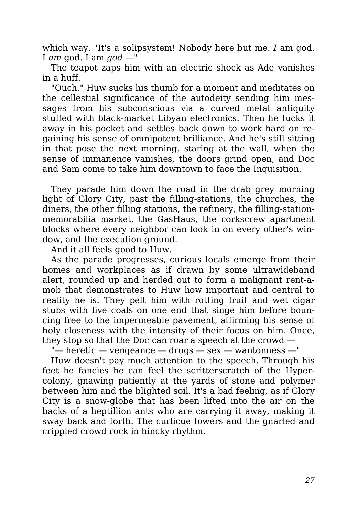which way. "It's a solipsystem! Nobody here but me. *I* am god. I *am* god. I am *god* —"

The teapot zaps him with an electric shock as Ade vanishes in a huff.

"Ouch." Huw sucks his thumb for a moment and meditates on the cellestial significance of the autodeity sending him messages from his subconscious via a curved metal antiquity stuffed with black-market Libyan electronics. Then he tucks it away in his pocket and settles back down to work hard on regaining his sense of omnipotent brilliance. And he's still sitting in that pose the next morning, staring at the wall, when the sense of immanence vanishes, the doors grind open, and Doc and Sam come to take him downtown to face the Inquisition.

They parade him down the road in the drab grey morning light of Glory City, past the filling-stations, the churches, the diners, the other filling stations, the refinery, the filling-stationmemorabilia market, the GasHaus, the corkscrew apartment blocks where every neighbor can look in on every other's window, and the execution ground.

And it all feels good to Huw.

As the parade progresses, curious locals emerge from their homes and workplaces as if drawn by some ultrawideband alert, rounded up and herded out to form a malignant rent-amob that demonstrates to Huw how important and central to reality he is. They pelt him with rotting fruit and wet cigar stubs with live coals on one end that singe him before bouncing free to the impermeable pavement, affirming his sense of holy closeness with the intensity of their focus on him. Once, they stop so that the Doc can roar a speech at the crowd —

"— heretic — vengeance — drugs — sex — wantonness —"

Huw doesn't pay much attention to the speech. Through his feet he fancies he can feel the scritterscratch of the Hypercolony, gnawing patiently at the yards of stone and polymer between him and the blighted soil. It's a bad feeling, as if Glory City is a snow-globe that has been lifted into the air on the backs of a heptillion ants who are carrying it away, making it sway back and forth. The curlicue towers and the gnarled and crippled crowd rock in hincky rhythm.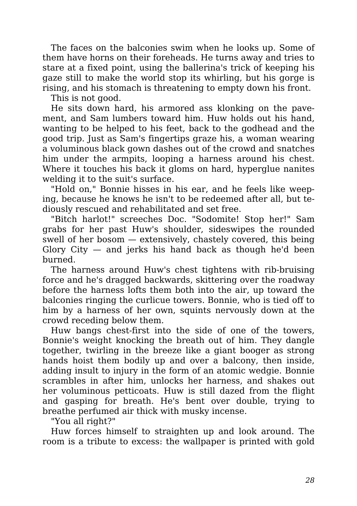The faces on the balconies swim when he looks up. Some of them have horns on their foreheads. He turns away and tries to stare at a fixed point, using the ballerina's trick of keeping his gaze still to make the world stop its whirling, but his gorge is rising, and his stomach is threatening to empty down his front.

This is not good.

He sits down hard, his armored ass klonking on the pavement, and Sam lumbers toward him. Huw holds out his hand, wanting to be helped to his feet, back to the godhead and the good trip. Just as Sam's fingertips graze his, a woman wearing a voluminous black gown dashes out of the crowd and snatches him under the armpits, looping a harness around his chest. Where it touches his back it gloms on hard, hyperglue nanites welding it to the suit's surface.

"Hold on," Bonnie hisses in his ear, and he feels like weeping, because he knows he isn't to be redeemed after all, but tediously rescued and rehabilitated and set free.

"Bitch harlot!" screeches Doc. "Sodomite! Stop her!" Sam grabs for her past Huw's shoulder, sideswipes the rounded swell of her bosom — extensively, chastely covered, this being Glory City  $-$  and jerks his hand back as though he'd been burned.

The harness around Huw's chest tightens with rib-bruising force and he's dragged backwards, skittering over the roadway before the harness lofts them both into the air, up toward the balconies ringing the curlicue towers. Bonnie, who is tied off to him by a harness of her own, squints nervously down at the crowd receding below them.

Huw bangs chest-first into the side of one of the towers, Bonnie's weight knocking the breath out of him. They dangle together, twirling in the breeze like a giant booger as strong hands hoist them bodily up and over a balcony, then inside, adding insult to injury in the form of an atomic wedgie. Bonnie scrambles in after him, unlocks her harness, and shakes out her voluminous petticoats. Huw is still dazed from the flight and gasping for breath. He's bent over double, trying to breathe perfumed air thick with musky incense.

"You all right?"

Huw forces himself to straighten up and look around. The room is a tribute to excess: the wallpaper is printed with gold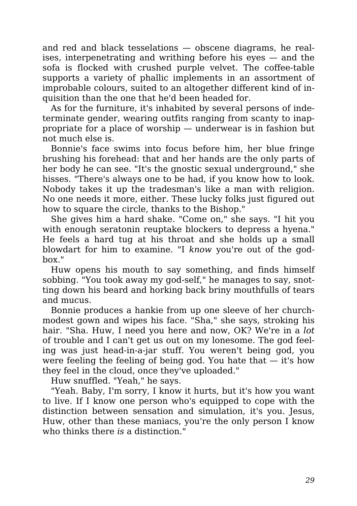and red and black tesselations — obscene diagrams, he realises, interpenetrating and writhing before his eyes — and the sofa is flocked with crushed purple velvet. The coffee-table supports a variety of phallic implements in an assortment of improbable colours, suited to an altogether different kind of inquisition than the one that he'd been headed for.

As for the furniture, it's inhabited by several persons of indeterminate gender, wearing outfits ranging from scanty to inappropriate for a place of worship — underwear is in fashion but not much else is.

Bonnie's face swims into focus before him, her blue fringe brushing his forehead: that and her hands are the only parts of her body he can see. "It's the gnostic sexual underground," she hisses. "There's always one to be had, if you know how to look. Nobody takes it up the tradesman's like a man with religion. No one needs it more, either. These lucky folks just figured out how to square the circle, thanks to the Bishop."

She gives him a hard shake. "Come on," she says. "I hit you with enough seratonin reuptake blockers to depress a hyena." He feels a hard tug at his throat and she holds up a small blowdart for him to examine. "I *know* you're out of the godbox."

Huw opens his mouth to say something, and finds himself sobbing. "You took away my god-self," he manages to say, snotting down his beard and horking back briny mouthfulls of tears and mucus.

Bonnie produces a hankie from up one sleeve of her churchmodest gown and wipes his face. "Sha," she says, stroking his hair. "Sha. Huw, I need you here and now, OK? We're in a *lot* of trouble and I can't get us out on my lonesome. The god feeling was just head-in-a-jar stuff. You weren't being god, you were feeling the feeling of being god. You hate that — it's how they feel in the cloud, once they've uploaded."

Huw snuffled. "Yeah," he says.

"Yeah. Baby, I'm sorry, I know it hurts, but it's how you want to live. If I know one person who's equipped to cope with the distinction between sensation and simulation, it's you. Jesus, Huw, other than these maniacs, you're the only person I know who thinks there *is* a distinction."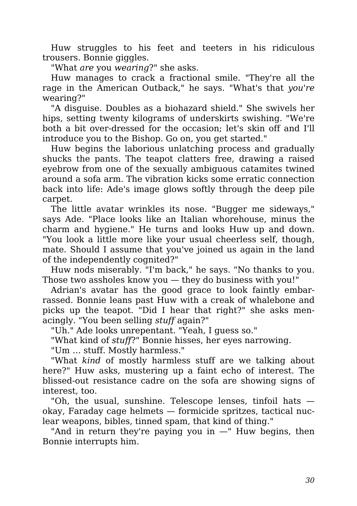Huw struggles to his feet and teeters in his ridiculous trousers. Bonnie giggles.

"What *are* you *wearing*?" she asks.

Huw manages to crack a fractional smile. "They're all the rage in the American Outback," he says. "What's that *you're* wearing?"

"A disguise. Doubles as a biohazard shield." She swivels her hips, setting twenty kilograms of underskirts swishing. "We're both a bit over-dressed for the occasion; let's skin off and I'll introduce you to the Bishop. Go on, you get started."

Huw begins the laborious unlatching process and gradually shucks the pants. The teapot clatters free, drawing a raised eyebrow from one of the sexually ambiguous catamites twined around a sofa arm. The vibration kicks some erratic connection back into life: Ade's image glows softly through the deep pile carpet.

The little avatar wrinkles its nose. "Bugger me sideways," says Ade. "Place looks like an Italian whorehouse, minus the charm and hygiene." He turns and looks Huw up and down. "You look a little more like your usual cheerless self, though, mate. Should I assume that you've joined us again in the land of the independently cognited?"

Huw nods miserably. "I'm back," he says. "No thanks to you. Those two assholes know you — they do business with you!"

Adrian's avatar has the good grace to look faintly embarrassed. Bonnie leans past Huw with a creak of whalebone and picks up the teapot. "Did I hear that right?" she asks menacingly. "You been selling *stuff* again?"

"Uh." Ade looks unrepentant. "Yeah, I guess so."

"What kind of *stuff*?" Bonnie hisses, her eyes narrowing.

"Um … stuff. Mostly harmless."

"What *kind* of mostly harmless stuff are we talking about here?" Huw asks, mustering up a faint echo of interest. The blissed-out resistance cadre on the sofa are showing signs of interest, too.

"Oh, the usual, sunshine. Telescope lenses, tinfoil hats okay, Faraday cage helmets — formicide spritzes, tactical nuclear weapons, bibles, tinned spam, that kind of thing."

"And in return they're paying you in  $-$ " Huw begins, then Bonnie interrupts him.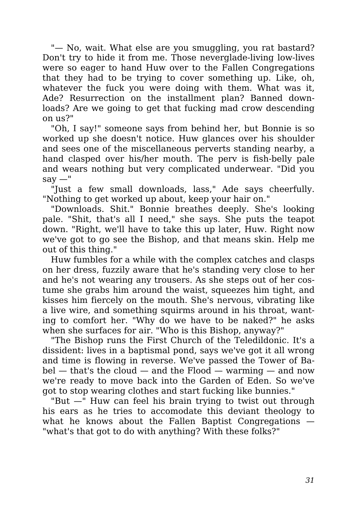"— No, wait. What else are you smuggling, you rat bastard? Don't try to hide it from me. Those neverglade-living low-lives were so eager to hand Huw over to the Fallen Congregations that they had to be trying to cover something up. Like, oh, whatever the fuck you were doing with them. What was it, Ade? Resurrection on the installment plan? Banned downloads? Are we going to get that fucking mad crow descending on us?"

"Oh, I say!" someone says from behind her, but Bonnie is so worked up she doesn't notice. Huw glances over his shoulder and sees one of the miscellaneous perverts standing nearby, a hand clasped over his/her mouth. The perv is fish-belly pale and wears nothing but very complicated underwear. "Did you  $sav -$ "

"Just a few small downloads, lass," Ade says cheerfully. "Nothing to get worked up about, keep your hair on."

"Downloads. Shit." Bonnie breathes deeply. She's looking pale. "Shit, that's all I need," she says. She puts the teapot down. "Right, we'll have to take this up later, Huw. Right now we've got to go see the Bishop, and that means skin. Help me out of this thing."

Huw fumbles for a while with the complex catches and clasps on her dress, fuzzily aware that he's standing very close to her and he's not wearing any trousers. As she steps out of her costume she grabs him around the waist, squeezes him tight, and kisses him fiercely on the mouth. She's nervous, vibrating like a live wire, and something squirms around in his throat, wanting to comfort her. "Why do we have to be naked?" he asks when she surfaces for air. "Who is this Bishop, anyway?"

"The Bishop runs the First Church of the Teledildonic. It's a dissident: lives in a baptismal pond, says we've got it all wrong and time is flowing in reverse. We've passed the Tower of Babel — that's the cloud — and the Flood — warming — and now we're ready to move back into the Garden of Eden. So we've got to stop wearing clothes and start fucking like bunnies."

"But —" Huw can feel his brain trying to twist out through his ears as he tries to accomodate this deviant theology to what he knows about the Fallen Baptist Congregations — "what's that got to do with anything? With these folks?"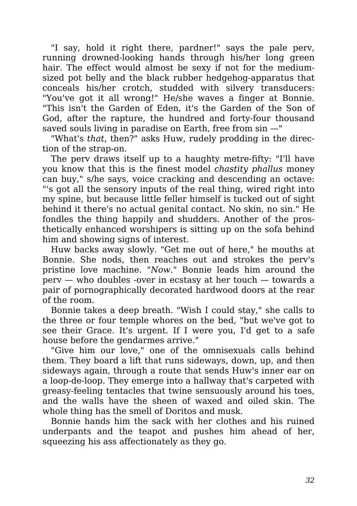"I say, hold it right there, pardner!" says the pale perv, running drowned-looking hands through his/her long green hair. The effect would almost be sexy if not for the mediumsized pot belly and the black rubber hedgehog-apparatus that conceals his/her crotch, studded with silvery transducers: "You've got it all wrong!" He/she waves a finger at Bonnie. "This isn't the Garden of Eden, it's the Garden of the Son of God, after the rapture, the hundred and forty-four thousand saved souls living in paradise on Earth, free from sin —"

"What's *that*, then?" asks Huw, rudely prodding in the direction of the strap-on.

The perv draws itself up to a haughty metre-fifty: "I'll have you know that this is the finest model *chastity phallus* money can buy," s/he says, voice cracking and descending an octave: "'s got all the sensory inputs of the real thing, wired right into my spine, but because little feller himself is tucked out of sight behind it there's no actual genital contact. No skin, no sin." He fondles the thing happily and shudders. Another of the prosthetically enhanced worshipers is sitting up on the sofa behind him and showing signs of interest.

Huw backs away slowly. "Get me out of here," he mouths at Bonnie. She nods, then reaches out and strokes the perv's pristine love machine. "*Now*." Bonnie leads him around the perv — who doubles -over in ecstasy at her touch — towards a pair of pornographically decorated hardwood doors at the rear of the room.

Bonnie takes a deep breath. "Wish I could stay," she calls to the three or four temple whores on the bed, "but we've got to see their Grace. It's urgent. If I were you, I'd get to a safe house before the gendarmes arrive."

"Give him our love," one of the omnisexuals calls behind them. They board a lift that runs sideways, down, up, and then sideways again, through a route that sends Huw's inner ear on a loop-de-loop. They emerge into a hallway that's carpeted with greasy-feeling tentacles that twine sensuously around his toes, and the walls have the sheen of waxed and oiled skin. The whole thing has the smell of Doritos and musk.

Bonnie hands him the sack with her clothes and his ruined underpants and the teapot and pushes him ahead of her, squeezing his ass affectionately as they go.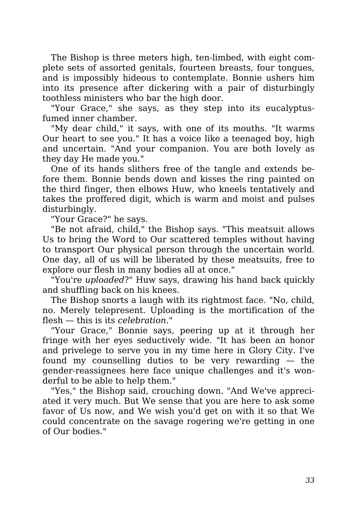The Bishop is three meters high, ten-limbed, with eight complete sets of assorted genitals, fourteen breasts, four tongues, and is impossibly hideous to contemplate. Bonnie ushers him into its presence after dickering with a pair of disturbingly toothless ministers who bar the high door.

"Your Grace," she says, as they step into its eucalyptusfumed inner chamber.

"My dear child," it says, with one of its mouths. "It warms Our heart to see you." It has a voice like a teenaged boy, high and uncertain. "And your companion. You are both lovely as they day He made you."

One of its hands slithers free of the tangle and extends before them. Bonnie bends down and kisses the ring painted on the third finger, then elbows Huw, who kneels tentatively and takes the proffered digit, which is warm and moist and pulses disturbingly.

"Your Grace?" he says.

"Be not afraid, child," the Bishop says. "This meatsuit allows Us to bring the Word to Our scattered temples without having to transport Our physical person through the uncertain world. One day, all of us will be liberated by these meatsuits, free to explore our flesh in many bodies all at once."

"You're *uploaded*?" Huw says, drawing his hand back quickly and shuffling back on his knees.

The Bishop snorts a laugh with its rightmost face. "No, child, no. Merely telepresent. Uploading is the mortification of the flesh — this is its *celebration*."

"Your Grace," Bonnie says, peering up at it through her fringe with her eyes seductively wide. "It has been an honor and privelege to serve you in my time here in Glory City. I've found my counselling duties to be very rewarding — the gender-reassignees here face unique challenges and it's wonderful to be able to help them."

"Yes," the Bishop said, crouching down. "And We've appreciated it very much. But We sense that you are here to ask some favor of Us now, and We wish you'd get on with it so that We could concentrate on the savage rogering we're getting in one of Our bodies."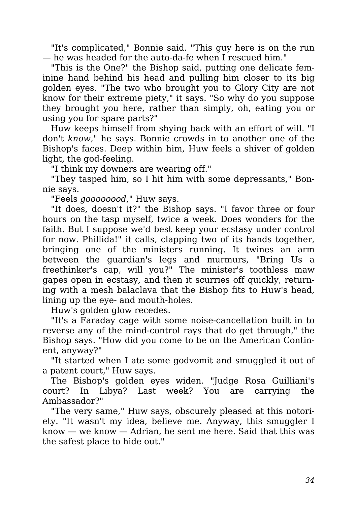"It's complicated," Bonnie said. "This guy here is on the run — he was headed for the auto-da-fe when I rescued him."

"This is the One?" the Bishop said, putting one delicate feminine hand behind his head and pulling him closer to its big golden eyes. "The two who brought you to Glory City are not know for their extreme piety," it says. "So why do you suppose they brought you here, rather than simply, oh, eating you or using you for spare parts?"

Huw keeps himself from shying back with an effort of will. "I don't *know*," he says. Bonnie crowds in to another one of the Bishop's faces. Deep within him, Huw feels a shiver of golden light, the god-feeling.

"I think my downers are wearing off."

"They tasped him, so I hit him with some depressants," Bonnie says.

"Feels *goooooood*," Huw says.

"It does, doesn't it?" the Bishop says. "I favor three or four hours on the tasp myself, twice a week. Does wonders for the faith. But I suppose we'd best keep your ecstasy under control for now. Phillida!" it calls, clapping two of its hands together, bringing one of the ministers running. It twines an arm between the guardian's legs and murmurs, "Bring Us a freethinker's cap, will you?" The minister's toothless maw gapes open in ecstasy, and then it scurries off quickly, returning with a mesh balaclava that the Bishop fits to Huw's head, lining up the eye- and mouth-holes.

Huw's golden glow recedes.

"It's a Faraday cage with some noise-cancellation built in to reverse any of the mind-control rays that do get through," the Bishop says. "How did you come to be on the American Continent, anyway?"

"It started when I ate some godvomit and smuggled it out of a patent court," Huw says.

The Bishop's golden eyes widen. "Judge Rosa Guilliani's court? In Libya? Last week? You are carrying the Ambassador?"

"The very same," Huw says, obscurely pleased at this notoriety. "It wasn't my idea, believe me. Anyway, this smuggler I  $k$ now — we know — Adrian, he sent me here. Said that this was the safest place to hide out."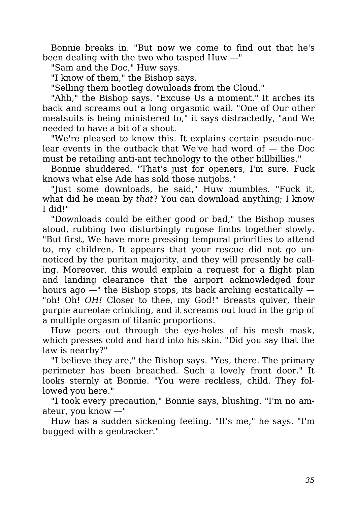Bonnie breaks in. "But now we come to find out that he's been dealing with the two who tasped Huw —"

"Sam and the Doc," Huw says.

"I know of them," the Bishop says.

"Selling them bootleg downloads from the Cloud."

"Ahh," the Bishop says. "Excuse Us a moment." It arches its back and screams out a long orgasmic wail. "One of Our other meatsuits is being ministered to," it says distractedly, "and We needed to have a bit of a shout.

"We're pleased to know this. It explains certain pseudo-nuclear events in the outback that We've had word of — the Doc must be retailing anti-ant technology to the other hillbillies."

Bonnie shuddered. "That's just for openers, I'm sure. Fuck knows what else Ade has sold those nutjobs."

"Just some downloads, he said," Huw mumbles. "Fuck it, what did he mean by *that*? You can download anything; I know I did!"

"Downloads could be either good or bad," the Bishop muses aloud, rubbing two disturbingly rugose limbs together slowly. "But first, We have more pressing temporal priorities to attend to, my children. It appears that your rescue did not go unnoticed by the puritan majority, and they will presently be calling. Moreover, this would explain a request for a flight plan and landing clearance that the airport acknowledged four hours ago —" the Bishop stops, its back arching ecstatically — "oh! Oh! *OH!* Closer to thee, my God!" Breasts quiver, their purple aureolae crinkling, and it screams out loud in the grip of a multiple orgasm of titanic proportions.

Huw peers out through the eye-holes of his mesh mask, which presses cold and hard into his skin. "Did you say that the law is nearby?"

"I believe they are," the Bishop says. "Yes, there. The primary perimeter has been breached. Such a lovely front door." It looks sternly at Bonnie. "You were reckless, child. They followed you here."

"I took every precaution," Bonnie says, blushing. "I'm no amateur, you know —"

Huw has a sudden sickening feeling. "It's me," he says. "I'm bugged with a geotracker."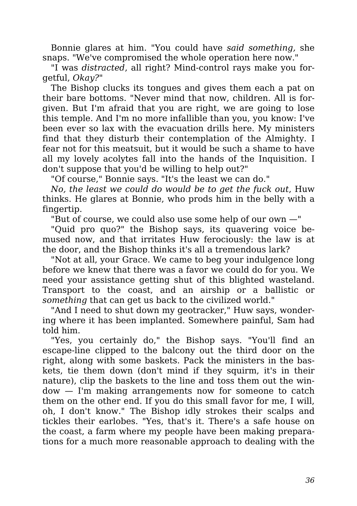Bonnie glares at him. "You could have *said something,* she snaps. "We've compromised the whole operation here now."

"I was *distracted*, all right? Mind-control rays make you forgetful, *Okay?*"

The Bishop clucks its tongues and gives them each a pat on their bare bottoms. "Never mind that now, children. All is forgiven. But I'm afraid that you are right, we are going to lose this temple. And I'm no more infallible than you, you know: I've been ever so lax with the evacuation drills here. My ministers find that they disturb their contemplation of the Almighty. I fear not for this meatsuit, but it would be such a shame to have all my lovely acolytes fall into the hands of the Inquisition. I don't suppose that you'd be willing to help out?"

"Of course," Bonnie says. "It's the least we can do."

*No, the least we could do would be to get the fuck out*, Huw thinks. He glares at Bonnie, who prods him in the belly with a fingertip.

"But of course, we could also use some help of our own —"

"Quid pro quo?" the Bishop says, its quavering voice bemused now, and that irritates Huw ferociously: the law is at the door, and the Bishop thinks it's all a tremendous lark?

"Not at all, your Grace. We came to beg your indulgence long before we knew that there was a favor we could do for you. We need your assistance getting shut of this blighted wasteland. Transport to the coast, and an airship or a ballistic or *something* that can get us back to the civilized world."

"And I need to shut down my geotracker," Huw says, wondering where it has been implanted. Somewhere painful, Sam had told him.

"Yes, you certainly do," the Bishop says. "You'll find an escape-line clipped to the balcony out the third door on the right, along with some baskets. Pack the ministers in the baskets, tie them down (don't mind if they squirm, it's in their nature), clip the baskets to the line and toss them out the window — I'm making arrangements now for someone to catch them on the other end. If you do this small favor for me, I will, oh, I don't know." The Bishop idly strokes their scalps and tickles their earlobes. "Yes, that's it. There's a safe house on the coast, a farm where my people have been making preparations for a much more reasonable approach to dealing with the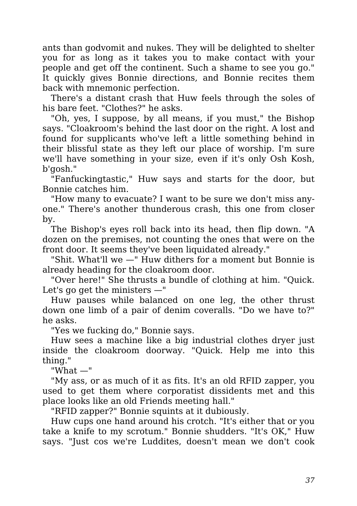ants than godvomit and nukes. They will be delighted to shelter you for as long as it takes you to make contact with your people and get off the continent. Such a shame to see you go." It quickly gives Bonnie directions, and Bonnie recites them back with mnemonic perfection.

There's a distant crash that Huw feels through the soles of his bare feet. "Clothes?" he asks.

"Oh, yes, I suppose, by all means, if you must," the Bishop says. "Cloakroom's behind the last door on the right. A lost and found for supplicants who've left a little something behind in their blissful state as they left our place of worship. I'm sure we'll have something in your size, even if it's only Osh Kosh, b'gosh."

"Fanfuckingtastic," Huw says and starts for the door, but Bonnie catches him.

"How many to evacuate? I want to be sure we don't miss anyone." There's another thunderous crash, this one from closer by.

The Bishop's eyes roll back into its head, then flip down. "A dozen on the premises, not counting the ones that were on the front door. It seems they've been liquidated already."

"Shit. What'll we —" Huw dithers for a moment but Bonnie is already heading for the cloakroom door.

"Over here!" She thrusts a bundle of clothing at him. "Quick. Let's go get the ministers —"

Huw pauses while balanced on one leg, the other thrust down one limb of a pair of denim coveralls. "Do we have to?" he asks.

"Yes we fucking do," Bonnie says.

Huw sees a machine like a big industrial clothes dryer just inside the cloakroom doorway. "Quick. Help me into this thing."

"What —"

"My ass, or as much of it as fits. It's an old RFID zapper, you used to get them where corporatist dissidents met and this place looks like an old Friends meeting hall."

"RFID zapper?" Bonnie squints at it dubiously.

Huw cups one hand around his crotch. "It's either that or you take a knife to my scrotum." Bonnie shudders. "It's OK," Huw says. "Just cos we're Luddites, doesn't mean we don't cook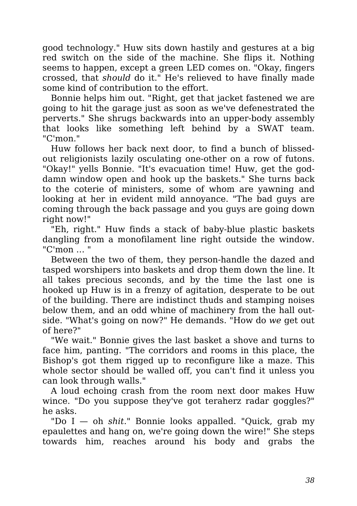good technology." Huw sits down hastily and gestures at a big red switch on the side of the machine. She flips it. Nothing seems to happen, except a green LED comes on. "Okay, fingers crossed, that *should* do it." He's relieved to have finally made some kind of contribution to the effort.

Bonnie helps him out. "Right, get that jacket fastened we are going to hit the garage just as soon as we've defenestrated the perverts." She shrugs backwards into an upper-body assembly that looks like something left behind by a SWAT team. "C'mon."

Huw follows her back next door, to find a bunch of blissedout religionists lazily osculating one-other on a row of futons. "Okay!" yells Bonnie. "It's evacuation time! Huw, get the goddamn window open and hook up the baskets." She turns back to the coterie of ministers, some of whom are yawning and looking at her in evident mild annoyance. "The bad guys are coming through the back passage and you guys are going down right now!"

"Eh, right." Huw finds a stack of baby-blue plastic baskets dangling from a monofilament line right outside the window.  $"C'mon"$ 

Between the two of them, they person-handle the dazed and tasped worshipers into baskets and drop them down the line. It all takes precious seconds, and by the time the last one is hooked up Huw is in a frenzy of agitation, desperate to be out of the building. There are indistinct thuds and stamping noises below them, and an odd whine of machinery from the hall outside. "What's going on now?" He demands. "How do *we* get out of here?"

"We wait." Bonnie gives the last basket a shove and turns to face him, panting. "The corridors and rooms in this place, the Bishop's got them rigged up to reconfigure like a maze. This whole sector should be walled off, you can't find it unless you can look through walls."

A loud echoing crash from the room next door makes Huw wince. "Do you suppose they've got teraherz radar goggles?" he asks.

"Do I — oh *shit*." Bonnie looks appalled. "Quick, grab my epaulettes and hang on, we're going down the wire!" She steps towards him, reaches around his body and grabs the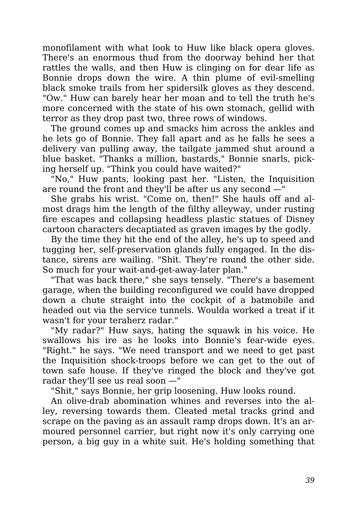monofilament with what look to Huw like black opera gloves. There's an enormous thud from the doorway behind her that rattles the walls, and then Huw is clinging on for dear life as Bonnie drops down the wire. A thin plume of evil-smelling black smoke trails from her spidersilk gloves as they descend. "Ow." Huw can barely hear her moan and to tell the truth he's more concerned with the state of his own stomach, gellid with terror as they drop past two, three rows of windows.

The ground comes up and smacks him across the ankles and he lets go of Bonnie. They fall apart and as he falls he sees a delivery van pulling away, the tailgate jammed shut around a blue basket. "Thanks a million, bastards," Bonnie snarls, picking herself up. "Think you could have waited?"

"No," Huw pants, looking past her. "Listen, the Inquisition are round the front and they'll be after us any second —"

She grabs his wrist. "Come on, then!" She hauls off and almost drags him the length of the filthy alleyway, under rusting fire escapes and collapsing headless plastic statues of Disney cartoon characters decaptiated as graven images by the godly.

By the time they hit the end of the alley, he's up to speed and tugging her, self-preservation glands fully engaged. In the distance, sirens are wailing. "Shit. They're round the other side. So much for your wait-and-get-away-later plan."

"That was back there," she says tensely. "There's a basement garage, when the building reconfigured we could have dropped down a chute straight into the cockpit of a batmobile and headed out via the service tunnels. Woulda worked a treat if it wasn't for your teraherz radar."

"My radar?" Huw says, hating the squawk in his voice. He swallows his ire as he looks into Bonnie's fear-wide eyes. "Right." he says. "We need transport and we need to get past the Inquisition shock-troops before we can get to the out of town safe house. If they've ringed the block and they've got radar they'll see us real soon —"

"Shit," says Bonnie, her grip loosening. Huw looks round.

An olive-drab abomination whines and reverses into the alley, reversing towards them. Cleated metal tracks grind and scrape on the paving as an assault ramp drops down. It's an armoured personnel carrier, but right now it's only carrying one person, a big guy in a white suit. He's holding something that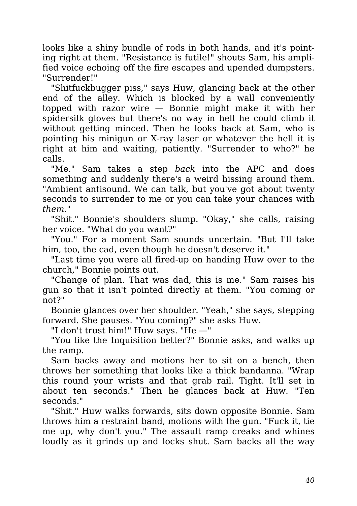looks like a shiny bundle of rods in both hands, and it's pointing right at them. "Resistance is futile!" shouts Sam, his amplified voice echoing off the fire escapes and upended dumpsters. "Surrender!"

"Shitfuckbugger piss," says Huw, glancing back at the other end of the alley. Which is blocked by a wall conveniently topped with razor wire — Bonnie might make it with her spidersilk gloves but there's no way in hell he could climb it without getting minced. Then he looks back at Sam, who is pointing his minigun or X-ray laser or whatever the hell it is right at him and waiting, patiently. "Surrender to who?" he calls.

"Me." Sam takes a step *back* into the APC and does something and suddenly there's a weird hissing around them. "Ambient antisound. We can talk, but you've got about twenty seconds to surrender to me or you can take your chances with *them*."

"Shit." Bonnie's shoulders slump. "Okay," she calls, raising her voice. "What do you want?"

"You." For a moment Sam sounds uncertain. "But I'll take him, too, the cad, even though he doesn't deserve it."

"Last time you were all fired-up on handing Huw over to the church," Bonnie points out.

"Change of plan. That was dad, this is me." Sam raises his gun so that it isn't pointed directly at them. "You coming or not?"

Bonnie glances over her shoulder. "Yeah," she says, stepping forward. She pauses. "You coming?" she asks Huw.

"I don't trust him!" Huw says. "He —"

"You like the Inquisition better?" Bonnie asks, and walks up the ramp.

Sam backs away and motions her to sit on a bench, then throws her something that looks like a thick bandanna. "Wrap this round your wrists and that grab rail. Tight. It'll set in about ten seconds." Then he glances back at Huw. "Ten seconds."

"Shit." Huw walks forwards, sits down opposite Bonnie. Sam throws him a restraint band, motions with the gun. "Fuck it, tie me up, why don't you." The assault ramp creaks and whines loudly as it grinds up and locks shut. Sam backs all the way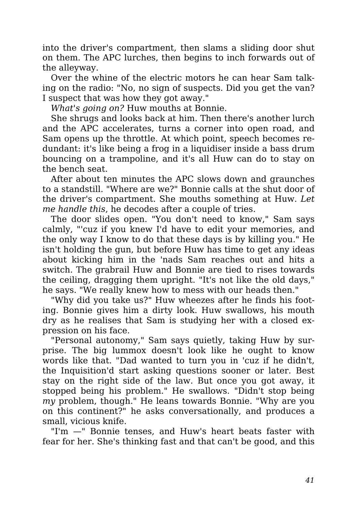into the driver's compartment, then slams a sliding door shut on them. The APC lurches, then begins to inch forwards out of the alleyway.

Over the whine of the electric motors he can hear Sam talking on the radio: "No, no sign of suspects. Did you get the van? I suspect that was how they got away."

*What's going on?* Huw mouths at Bonnie.

She shrugs and looks back at him. Then there's another lurch and the APC accelerates, turns a corner into open road, and Sam opens up the throttle. At which point, speech becomes redundant: it's like being a frog in a liquidiser inside a bass drum bouncing on a trampoline, and it's all Huw can do to stay on the bench seat.

After about ten minutes the APC slows down and graunches to a standstill. "Where are we?" Bonnie calls at the shut door of the driver's compartment. She mouths something at Huw. *Let me handle this*, he decodes after a couple of tries.

The door slides open. "You don't need to know," Sam says calmly, "'cuz if you knew I'd have to edit your memories, and the only way I know to do that these days is by killing you." He isn't holding the gun, but before Huw has time to get any ideas about kicking him in the 'nads Sam reaches out and hits a switch. The grabrail Huw and Bonnie are tied to rises towards the ceiling, dragging them upright. "It's not like the old days," he says. "We really knew how to mess with our heads then."

"Why did you take us?" Huw wheezes after he finds his footing. Bonnie gives him a dirty look. Huw swallows, his mouth dry as he realises that Sam is studying her with a closed expression on his face.

"Personal autonomy," Sam says quietly, taking Huw by surprise. The big lummox doesn't look like he ought to know words like that. "Dad wanted to turn you in 'cuz if he didn't, the Inquisition'd start asking questions sooner or later. Best stay on the right side of the law. But once you got away, it stopped being his problem." He swallows. "Didn't stop being *my* problem, though." He leans towards Bonnie. "Why are you on this continent?" he asks conversationally, and produces a small, vicious knife.

"I'm —" Bonnie tenses, and Huw's heart beats faster with fear for her. She's thinking fast and that can't be good, and this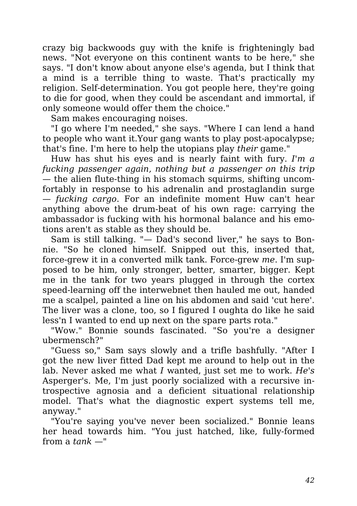crazy big backwoods guy with the knife is frighteningly bad news. "Not everyone on this continent wants to be here," she says. "I don't know about anyone else's agenda, but I think that a mind is a terrible thing to waste. That's practically my religion. Self-determination. You got people here, they're going to die for good, when they could be ascendant and immortal, if only someone would offer them the choice."

Sam makes encouraging noises.

"I go where I'm needed," she says. "Where I can lend a hand to people who want it.Your gang wants to play post-apocalypse; that's fine. I'm here to help the utopians play *their* game."

Huw has shut his eyes and is nearly faint with fury. *I'm a fucking passenger again, nothing but a passenger on this trip* — the alien flute-thing in his stomach squirms, shifting uncomfortably in response to his adrenalin and prostaglandin surge — *fucking cargo*. For an indefinite moment Huw can't hear anything above the drum-beat of his own rage: carrying the ambassador is fucking with his hormonal balance and his emotions aren't as stable as they should be.

Sam is still talking. "— Dad's second liver," he says to Bonnie. "So he cloned himself. Snipped out this, inserted that, force-grew it in a converted milk tank. Force-grew *me*. I'm supposed to be him, only stronger, better, smarter, bigger. Kept me in the tank for two years plugged in through the cortex speed-learning off the interwebnet then hauled me out, handed me a scalpel, painted a line on his abdomen and said 'cut here'. The liver was a clone, too, so I figured I oughta do like he said less'n I wanted to end up next on the spare parts rota."

"Wow." Bonnie sounds fascinated. "So you're a designer ubermensch?"

"Guess so," Sam says slowly and a trifle bashfully. "After I got the new liver fitted Dad kept me around to help out in the lab. Never asked me what *I* wanted, just set me to work. *He's* Asperger's. Me, I'm just poorly socialized with a recursive introspective agnosia and a deficient situational relationship model. That's what the diagnostic expert systems tell me, anyway."

"You're saying you've never been socialized." Bonnie leans her head towards him. "You just hatched, like, fully-formed from a *tank* —"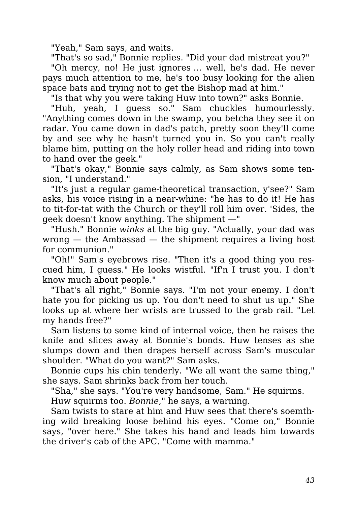"Yeah," Sam says, and waits.

"That's so sad," Bonnie replies. "Did your dad mistreat you?"

"Oh mercy, no! He just ignores … well, he's dad. He never pays much attention to me, he's too busy looking for the alien space bats and trying not to get the Bishop mad at him."

"Is that why you were taking Huw into town?" asks Bonnie.

"Huh, yeah, I guess so." Sam chuckles humourlessly. "Anything comes down in the swamp, you betcha they see it on radar. You came down in dad's patch, pretty soon they'll come by and see why he hasn't turned you in. So you can't really blame him, putting on the holy roller head and riding into town to hand over the geek."

"That's okay," Bonnie says calmly, as Sam shows some tension, "I understand."

"It's just a regular game-theoretical transaction, y'see?" Sam asks, his voice rising in a near-whine: "he has to do it! He has to tit-for-tat with the Church or they'll roll him over. 'Sides, the geek doesn't know anything. The shipment —"

"Hush." Bonnie *winks* at the big guy. "Actually, your dad was wrong — the Ambassad — the shipment requires a living host for communion."

"Oh!" Sam's eyebrows rise. "Then it's a good thing you rescued him, I guess." He looks wistful. "If'n I trust you. I don't know much about people."

"That's all right," Bonnie says. "I'm not your enemy. I don't hate you for picking us up. You don't need to shut us up." She looks up at where her wrists are trussed to the grab rail. "Let my hands free?"

Sam listens to some kind of internal voice, then he raises the knife and slices away at Bonnie's bonds. Huw tenses as she slumps down and then drapes herself across Sam's muscular shoulder. "What do you want?" Sam asks.

Bonnie cups his chin tenderly. "We all want the same thing," she says. Sam shrinks back from her touch.

"Sha," she says. "You're very handsome, Sam." He squirms.

Huw squirms too. *Bonnie*," he says, a warning.

Sam twists to stare at him and Huw sees that there's soemthing wild breaking loose behind his eyes. "Come on," Bonnie says, "over here." She takes his hand and leads him towards the driver's cab of the APC. "Come with mamma."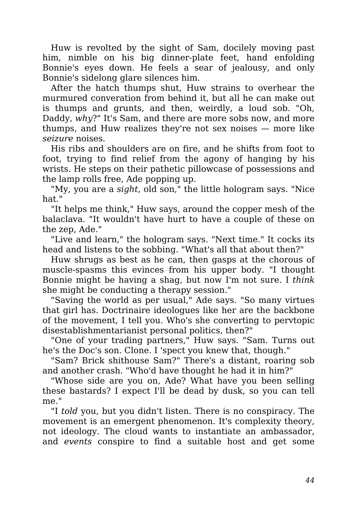Huw is revolted by the sight of Sam, docilely moving past him, nimble on his big dinner-plate feet, hand enfolding Bonnie's eyes down. He feels a sear of jealousy, and only Bonnie's sidelong glare silences him.

After the hatch thumps shut, Huw strains to overhear the murmured converation from behind it, but all he can make out is thumps and grunts, and then, weirdly, a loud sob. "Oh, Daddy, *why*?" It's Sam, and there are more sobs now, and more thumps, and Huw realizes they're not sex noises — more like *seizure* noises.

His ribs and shoulders are on fire, and he shifts from foot to foot, trying to find relief from the agony of hanging by his wrists. He steps on their pathetic pillowcase of possessions and the lamp rolls free, Ade popping up.

"My, you are a *sight*, old son," the little hologram says. "Nice hat."

"It helps me think," Huw says, around the copper mesh of the balaclava. "It wouldn't have hurt to have a couple of these on the zep, Ade."

"Live and learn," the hologram says. "Next time." It cocks its head and listens to the sobbing. "What's all that about then?"

Huw shrugs as best as he can, then gasps at the chorous of muscle-spasms this evinces from his upper body. "I thought Bonnie might be having a shag, but now I'm not sure. I *think* she might be conducting a therapy session."

"Saving the world as per usual," Ade says. "So many virtues that girl has. Doctrinaire ideologues like her are the backbone of the movement, I tell you. Who's she converting to pervtopic disestablishmentarianist personal politics, then?"

"One of your trading partners," Huw says. "Sam. Turns out he's the Doc's son. Clone. I 'spect you knew that, though."

"Sam? Brick shithouse Sam?" There's a distant, roaring sob and another crash. "Who'd have thought he had it in him?"

"Whose side are you on, Ade? What have you been selling these bastards? I expect I'll be dead by dusk, so you can tell me."

"I *told* you, but you didn't listen. There is no conspiracy. The movement is an emergent phenomenon. It's complexity theory, not ideology. The cloud wants to instantiate an ambassador, and *events* conspire to find a suitable host and get some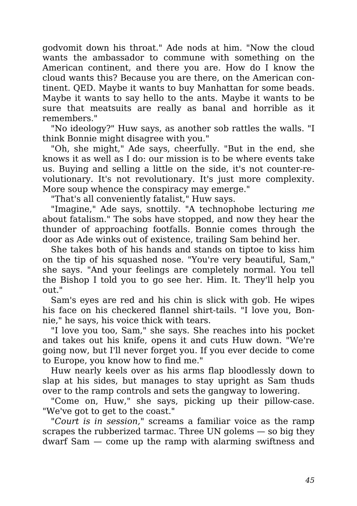godvomit down his throat." Ade nods at him. "Now the cloud wants the ambassador to commune with something on the American continent, and there you are. How do I know the cloud wants this? Because you are there, on the American continent. QED. Maybe it wants to buy Manhattan for some beads. Maybe it wants to say hello to the ants. Maybe it wants to be sure that meatsuits are really as banal and horrible as it remembers."

"No ideology?" Huw says, as another sob rattles the walls. "I think Bonnie might disagree with you."

"Oh, she might," Ade says, cheerfully. "But in the end, she knows it as well as I do: our mission is to be where events take us. Buying and selling a little on the side, it's not counter-revolutionary. It's not revolutionary. It's just more complexity. More soup whence the conspiracy may emerge."

"That's all conveniently fatalist," Huw says.

"Imagine," Ade says, snottily. "A technophobe lecturing *me* about fatalism." The sobs have stopped, and now they hear the thunder of approaching footfalls. Bonnie comes through the door as Ade winks out of existence, trailing Sam behind her.

She takes both of his hands and stands on tiptoe to kiss him on the tip of his squashed nose. "You're very beautiful, Sam," she says. "And your feelings are completely normal. You tell the Bishop I told you to go see her. Him. It. They'll help you out."

Sam's eyes are red and his chin is slick with gob. He wipes his face on his checkered flannel shirt-tails. "I love you, Bonnie," he says, his voice thick with tears.

"I love you too, Sam," she says. She reaches into his pocket and takes out his knife, opens it and cuts Huw down. "We're going now, but I'll never forget you. If you ever decide to come to Europe, you know how to find me."

Huw nearly keels over as his arms flap bloodlessly down to slap at his sides, but manages to stay upright as Sam thuds over to the ramp controls and sets the gangway to lowering.

"Come on, Huw," she says, picking up their pillow-case. "We've got to get to the coast."

"*Court is in session,*" screams a familiar voice as the ramp scrapes the rubberized tarmac. Three UN golems — so big they dwarf Sam — come up the ramp with alarming swiftness and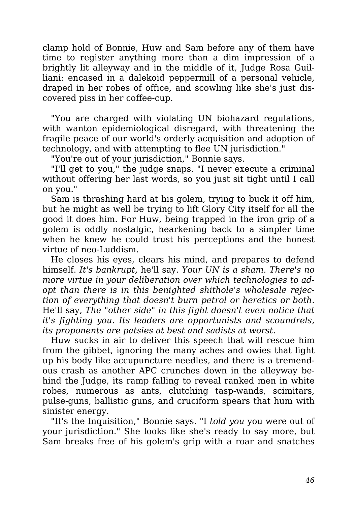clamp hold of Bonnie, Huw and Sam before any of them have time to register anything more than a dim impression of a brightly lit alleyway and in the middle of it, Judge Rosa Guilliani: encased in a dalekoid peppermill of a personal vehicle, draped in her robes of office, and scowling like she's just discovered piss in her coffee-cup.

"You are charged with violating UN biohazard regulations, with wanton epidemiological disregard, with threatening the fragile peace of our world's orderly acquisition and adoption of technology, and with attempting to flee UN jurisdiction."

"You're out of your jurisdiction," Bonnie says.

"I'll get to you," the judge snaps. "I never execute a criminal without offering her last words, so you just sit tight until I call on you."

Sam is thrashing hard at his golem, trying to buck it off him, but he might as well be trying to lift Glory City itself for all the good it does him. For Huw, being trapped in the iron grip of a golem is oddly nostalgic, hearkening back to a simpler time when he knew he could trust his perceptions and the honest virtue of neo-Luddism.

He closes his eyes, clears his mind, and prepares to defend himself. *It's bankrupt,* he'll say. *Your UN is a sham. There's no more virtue in your deliberation over which technologies to adopt than there is in this benighted shithole's wholesale rejection of everything that doesn't burn petrol or heretics or both.* He'll say, *The "other side" in this fight doesn't even notice that it's fighting you. Its leaders are opportunists and scoundrels, its proponents are patsies at best and sadists at worst.*

Huw sucks in air to deliver this speech that will rescue him from the gibbet, ignoring the many aches and owies that light up his body like accupuncture needles, and there is a tremendous crash as another APC crunches down in the alleyway behind the Judge, its ramp falling to reveal ranked men in white robes, numerous as ants, clutching tasp-wands, scimitars, pulse-guns, ballistic guns, and cruciform spears that hum with sinister energy.

"It's the Inquisition," Bonnie says. "I *told you* you were out of your jurisdiction." She looks like she's ready to say more, but Sam breaks free of his golem's grip with a roar and snatches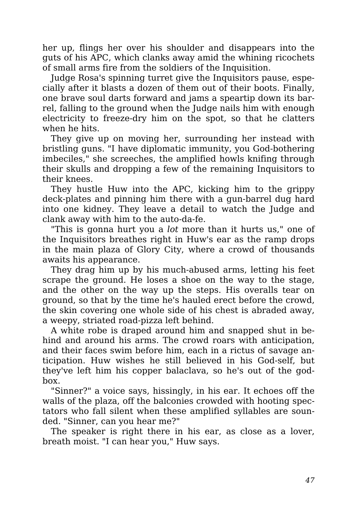her up, flings her over his shoulder and disappears into the guts of his APC, which clanks away amid the whining ricochets of small arms fire from the soldiers of the Inquisition.

Judge Rosa's spinning turret give the Inquisitors pause, especially after it blasts a dozen of them out of their boots. Finally, one brave soul darts forward and jams a speartip down its barrel, falling to the ground when the Judge nails him with enough electricity to freeze-dry him on the spot, so that he clatters when he hits.

They give up on moving her, surrounding her instead with bristling guns. "I have diplomatic immunity, you God-bothering imbeciles," she screeches, the amplified howls knifing through their skulls and dropping a few of the remaining Inquisitors to their knees.

They hustle Huw into the APC, kicking him to the grippy deck-plates and pinning him there with a gun-barrel dug hard into one kidney. They leave a detail to watch the Judge and clank away with him to the auto-da-fe.

"This is gonna hurt you a *lot* more than it hurts us," one of the Inquisitors breathes right in Huw's ear as the ramp drops in the main plaza of Glory City, where a crowd of thousands awaits his appearance.

They drag him up by his much-abused arms, letting his feet scrape the ground. He loses a shoe on the way to the stage, and the other on the way up the steps. His overalls tear on ground, so that by the time he's hauled erect before the crowd, the skin covering one whole side of his chest is abraded away, a weepy, striated road-pizza left behind.

A white robe is draped around him and snapped shut in behind and around his arms. The crowd roars with anticipation, and their faces swim before him, each in a rictus of savage anticipation. Huw wishes he still believed in his God-self, but they've left him his copper balaclava, so he's out of the godbox.

"Sinner?" a voice says, hissingly, in his ear. It echoes off the walls of the plaza, off the balconies crowded with hooting spectators who fall silent when these amplified syllables are sounded. "Sinner, can you hear me?"

The speaker is right there in his ear, as close as a lover, breath moist. "I can hear you," Huw says.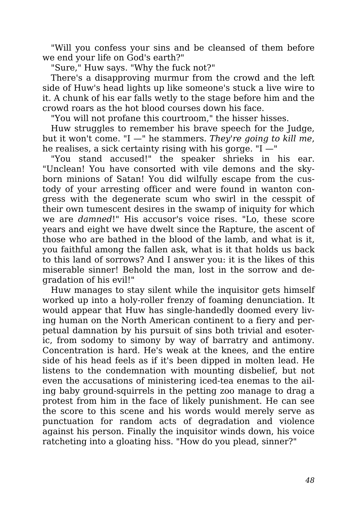"Will you confess your sins and be cleansed of them before we end your life on God's earth?"

"Sure," Huw says. "Why the fuck not?"

There's a disapproving murmur from the crowd and the left side of Huw's head lights up like someone's stuck a live wire to it. A chunk of his ear falls wetly to the stage before him and the crowd roars as the hot blood courses down his face.

"You will not profane this courtroom," the hisser hisses.

Huw struggles to remember his brave speech for the Judge, but it won't come. "I —" he stammers. *They're going to kill me*, he realises, a sick certainty rising with his gorge. "I —"

"You stand accused!" the speaker shrieks in his ear. "Unclean! You have consorted with vile demons and the skyborn minions of Satan! You did wilfully escape from the custody of your arresting officer and were found in wanton congress with the degenerate scum who swirl in the cesspit of their own tumescent desires in the swamp of iniquity for which we are *damned*!" His accusor's voice rises. "Lo, these score years and eight we have dwelt since the Rapture, the ascent of those who are bathed in the blood of the lamb, and what is it, you faithful among the fallen ask, what is it that holds us back to this land of sorrows? And I answer you: it is the likes of this miserable sinner! Behold the man, lost in the sorrow and degradation of his evil!"

Huw manages to stay silent while the inquisitor gets himself worked up into a holy-roller frenzy of foaming denunciation. It would appear that Huw has single-handedly doomed every living human on the North American continent to a fiery and perpetual damnation by his pursuit of sins both trivial and esoteric, from sodomy to simony by way of barratry and antimony. Concentration is hard. He's weak at the knees, and the entire side of his head feels as if it's been dipped in molten lead. He listens to the condemnation with mounting disbelief, but not even the accusations of ministering iced-tea enemas to the ailing baby ground-squirrels in the petting zoo manage to drag a protest from him in the face of likely punishment. He can see the score to this scene and his words would merely serve as punctuation for random acts of degradation and violence against his person. Finally the inquisitor winds down, his voice ratcheting into a gloating hiss. "How do you plead, sinner?"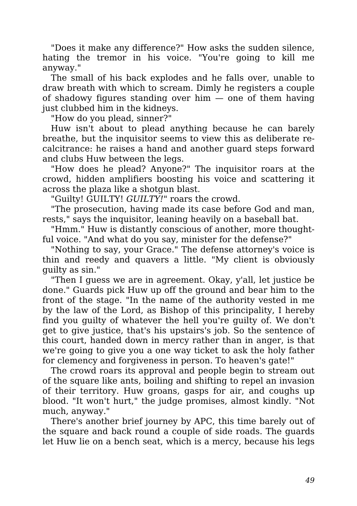"Does it make any difference?" How asks the sudden silence, hating the tremor in his voice. "You're going to kill me anyway."

The small of his back explodes and he falls over, unable to draw breath with which to scream. Dimly he registers a couple of shadowy figures standing over him — one of them having just clubbed him in the kidneys.

"How do you plead, sinner?"

Huw isn't about to plead anything because he can barely breathe, but the inquisitor seems to view this as deliberate recalcitrance: he raises a hand and another guard steps forward and clubs Huw between the legs.

"How does he plead? Anyone?" The inquisitor roars at the crowd, hidden amplifiers boosting his voice and scattering it across the plaza like a shotgun blast.

"Guilty! GUILTY! *GUILTY!*" roars the crowd.

"The prosecution, having made its case before God and man, rests," says the inquisitor, leaning heavily on a baseball bat.

"Hmm." Huw is distantly conscious of another, more thoughtful voice. "And what do you say, minister for the defense?"

"Nothing to say, your Grace." The defense attorney's voice is thin and reedy and quavers a little. "My client is obviously guilty as sin."

"Then I guess we are in agreement. Okay, y'all, let justice be done." Guards pick Huw up off the ground and bear him to the front of the stage. "In the name of the authority vested in me by the law of the Lord, as Bishop of this principality, I hereby find you guilty of whatever the hell you're guilty of. We don't get to give justice, that's his upstairs's job. So the sentence of this court, handed down in mercy rather than in anger, is that we're going to give you a one way ticket to ask the holy father for clemency and forgiveness in person. To heaven's gate!"

The crowd roars its approval and people begin to stream out of the square like ants, boiling and shifting to repel an invasion of their territory. Huw groans, gasps for air, and coughs up blood. "It won't hurt," the judge promises, almost kindly. "Not much, anyway."

There's another brief journey by APC, this time barely out of the square and back round a couple of side roads. The guards let Huw lie on a bench seat, which is a mercy, because his legs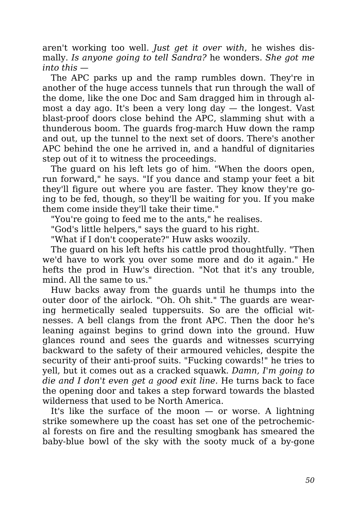aren't working too well. *Just get it over with*, he wishes dismally. *Is anyone going to tell Sandra?* he wonders. *She got me into this —*

The APC parks up and the ramp rumbles down. They're in another of the huge access tunnels that run through the wall of the dome, like the one Doc and Sam dragged him in through almost a day ago. It's been a very long day — the longest. Vast blast-proof doors close behind the APC, slamming shut with a thunderous boom. The guards frog-march Huw down the ramp and out, up the tunnel to the next set of doors. There's another APC behind the one he arrived in, and a handful of dignitaries step out of it to witness the proceedings.

The guard on his left lets go of him. "When the doors open, run forward," he says. "If you dance and stamp your feet a bit they'll figure out where you are faster. They know they're going to be fed, though, so they'll be waiting for you. If you make them come inside they'll take their time."

"You're going to feed me to the ants," he realises.

"God's little helpers," says the guard to his right.

"What if I don't cooperate?" Huw asks woozily.

The guard on his left hefts his cattle prod thoughtfully. "Then we'd have to work you over some more and do it again." He hefts the prod in Huw's direction. "Not that it's any trouble, mind. All the same to us."

Huw backs away from the guards until he thumps into the outer door of the airlock. "Oh. Oh shit." The guards are wearing hermetically sealed tuppersuits. So are the official witnesses. A bell clangs from the front APC. Then the door he's leaning against begins to grind down into the ground. Huw glances round and sees the guards and witnesses scurrying backward to the safety of their armoured vehicles, despite the security of their anti-proof suits. "Fucking cowards!" he tries to yell, but it comes out as a cracked squawk. *Damn, I'm going to die and I don't even get a good exit line.* He turns back to face the opening door and takes a step forward towards the blasted wilderness that used to be North America.

It's like the surface of the moon — or worse. A lightning strike somewhere up the coast has set one of the petrochemical forests on fire and the resulting smogbank has smeared the baby-blue bowl of the sky with the sooty muck of a by-gone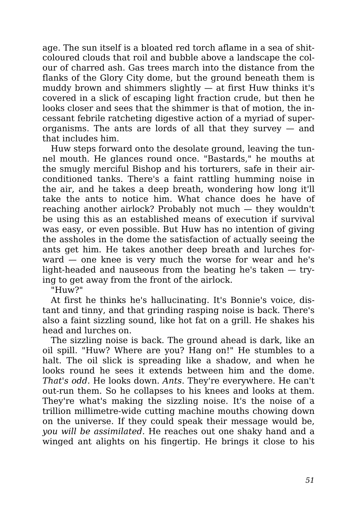age. The sun itself is a bloated red torch aflame in a sea of shitcoloured clouds that roil and bubble above a landscape the colour of charred ash. Gas trees march into the distance from the flanks of the Glory City dome, but the ground beneath them is muddy brown and shimmers slightly — at first Huw thinks it's covered in a slick of escaping light fraction crude, but then he looks closer and sees that the shimmer is that of motion, the incessant febrile ratcheting digestive action of a myriad of superorganisms. The ants are lords of all that they survey — and that includes him.

Huw steps forward onto the desolate ground, leaving the tunnel mouth. He glances round once. "Bastards," he mouths at the smugly merciful Bishop and his torturers, safe in their airconditioned tanks. There's a faint rattling humming noise in the air, and he takes a deep breath, wondering how long it'll take the ants to notice him. What chance does he have of reaching another airlock? Probably not much — they wouldn't be using this as an established means of execution if survival was easy, or even possible. But Huw has no intention of giving the assholes in the dome the satisfaction of actually seeing the ants get him. He takes another deep breath and lurches forward — one knee is very much the worse for wear and he's light-headed and nauseous from the beating he's taken — trying to get away from the front of the airlock.

"Huw?"

At first he thinks he's hallucinating. It's Bonnie's voice, distant and tinny, and that grinding rasping noise is back. There's also a faint sizzling sound, like hot fat on a grill. He shakes his head and lurches on.

The sizzling noise is back. The ground ahead is dark, like an oil spill. "Huw? Where are you? Hang on!" He stumbles to a halt. The oil slick is spreading like a shadow, and when he looks round he sees it extends between him and the dome. *That's odd.* He looks down. *Ants.* They're everywhere. He can't out-run them. So he collapses to his knees and looks at them. They're what's making the sizzling noise. It's the noise of a trillion millimetre-wide cutting machine mouths chowing down on the universe. If they could speak their message would be, *you will be assimilated*. He reaches out one shaky hand and a winged ant alights on his fingertip. He brings it close to his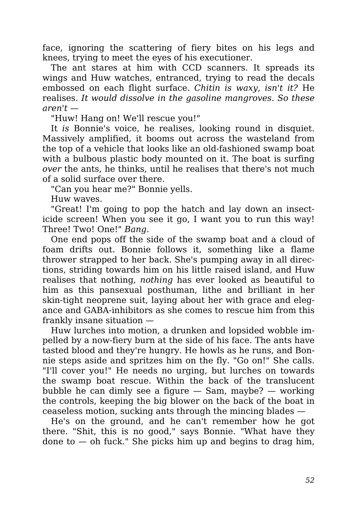face, ignoring the scattering of fiery bites on his legs and knees, trying to meet the eyes of his executioner.

The ant stares at him with CCD scanners. It spreads its wings and Huw watches, entranced, trying to read the decals embossed on each flight surface. *Chitin is waxy, isn't it?* He realises. *It would dissolve in the gasoline mangroves. So these aren't —*

"Huw! Hang on! We'll rescue you!"

It *is* Bonnie's voice, he realises, looking round in disquiet. Massively amplified, it booms out across the wasteland from the top of a vehicle that looks like an old-fashioned swamp boat with a bulbous plastic body mounted on it. The boat is surfing *over* the ants, he thinks, until he realises that there's not much of a solid surface over there.

"Can you hear me?" Bonnie yells.

Huw waves.

"Great! I'm going to pop the hatch and lay down an insecticide screen! When you see it go, I want you to run this way! Three! Two! One!" *Bang.*

One end pops off the side of the swamp boat and a cloud of foam drifts out. Bonnie follows it, something like a flame thrower strapped to her back. She's pumping away in all directions, striding towards him on his little raised island, and Huw realises that nothing, *nothing* has ever looked as beautiful to him as this pansexual posthuman, lithe and brilliant in her skin-tight neoprene suit, laying about her with grace and elegance and GABA-inhibitors as she comes to rescue him from this frankly insane situation —

Huw lurches into motion, a drunken and lopsided wobble impelled by a now-fiery burn at the side of his face. The ants have tasted blood and they're hungry. He howls as he runs, and Bonnie steps aside and spritzes him on the fly. "Go on!" She calls. "I'll cover you!" He needs no urging, but lurches on towards the swamp boat rescue. Within the back of the translucent bubble he can dimly see a figure — Sam, maybe? — working the controls, keeping the big blower on the back of the boat in ceaseless motion, sucking ants through the mincing blades —

He's on the ground, and he can't remember how he got there. "Shit, this is no good," says Bonnie. "What have they done to  $-$  oh fuck." She picks him up and begins to drag him,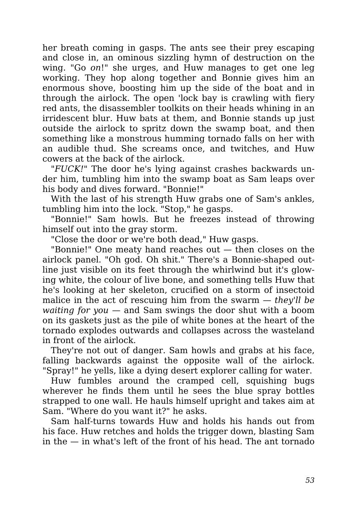her breath coming in gasps. The ants see their prey escaping and close in, an ominous sizzling hymn of destruction on the wing. "Go *on*!" she urges, and Huw manages to get one leg working. They hop along together and Bonnie gives him an enormous shove, boosting him up the side of the boat and in through the airlock. The open 'lock bay is crawling with fiery red ants, the disassembler toolkits on their heads whining in an irridescent blur. Huw bats at them, and Bonnie stands up just outside the airlock to spritz down the swamp boat, and then something like a monstrous humming tornado falls on her with an audible thud. She screams once, and twitches, and Huw cowers at the back of the airlock.

"*FUCK!*" The door he's lying against crashes backwards under him, tumbling him into the swamp boat as Sam leaps over his body and dives forward. "Bonnie!"

With the last of his strength Huw grabs one of Sam's ankles, tumbling him into the lock. "Stop," he gasps.

"Bonnie!" Sam howls. But he freezes instead of throwing himself out into the gray storm.

"Close the door or we're both dead," Huw gasps.

"Bonnie!" One meaty hand reaches out — then closes on the airlock panel. "Oh god. Oh shit." There's a Bonnie-shaped outline just visible on its feet through the whirlwind but it's glowing white, the colour of live bone, and something tells Huw that he's looking at her skeleton, crucified on a storm of insectoid malice in the act of rescuing him from the swarm — *they'll be waiting for you* — and Sam swings the door shut with a boom on its gaskets just as the pile of white bones at the heart of the tornado explodes outwards and collapses across the wasteland in front of the airlock.

They're not out of danger. Sam howls and grabs at his face, falling backwards against the opposite wall of the airlock. "Spray!" he yells, like a dying desert explorer calling for water.

Huw fumbles around the cramped cell, squishing bugs wherever he finds them until he sees the blue spray bottles strapped to one wall. He hauls himself upright and takes aim at Sam. "Where do you want it?" he asks.

Sam half-turns towards Huw and holds his hands out from his face. Huw retches and holds the trigger down, blasting Sam in the — in what's left of the front of his head. The ant tornado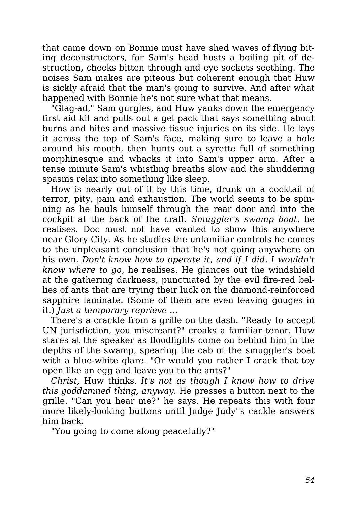that came down on Bonnie must have shed waves of flying biting deconstructors, for Sam's head hosts a boiling pit of destruction, cheeks bitten through and eye sockets seething. The noises Sam makes are piteous but coherent enough that Huw is sickly afraid that the man's going to survive. And after what happened with Bonnie he's not sure what that means.

"Glag-ad," Sam gurgles, and Huw yanks down the emergency first aid kit and pulls out a gel pack that says something about burns and bites and massive tissue injuries on its side. He lays it across the top of Sam's face, making sure to leave a hole around his mouth, then hunts out a syrette full of something morphinesque and whacks it into Sam's upper arm. After a tense minute Sam's whistling breaths slow and the shuddering spasms relax into something like sleep.

How is nearly out of it by this time, drunk on a cocktail of terror, pity, pain and exhaustion. The world seems to be spinning as he hauls himself through the rear door and into the cockpit at the back of the craft. *Smuggler's swamp boat*, he realises. Doc must not have wanted to show this anywhere near Glory City. As he studies the unfamiliar controls he comes to the unpleasant conclusion that he's not going anywhere on his own. *Don't know how to operate it, and if I did, I wouldn't know where to go,* he realises. He glances out the windshield at the gathering darkness, punctuated by the evil fire-red bellies of ants that are trying their luck on the diamond-reinforced sapphire laminate. (Some of them are even leaving gouges in it.) *Just a temporary reprieve …*

There's a crackle from a grille on the dash. "Ready to accept UN jurisdiction, you miscreant?" croaks a familiar tenor. Huw stares at the speaker as floodlights come on behind him in the depths of the swamp, spearing the cab of the smuggler's boat with a blue-white glare. "Or would you rather I crack that toy open like an egg and leave you to the ants?"

*Christ*, Huw thinks. *It's not as though I know how to drive this goddamned thing, anyway.* He presses a button next to the grille. "Can you hear me?" he says. He repeats this with four more likely-looking buttons until Judge Judy''s cackle answers him back.

"You going to come along peacefully?"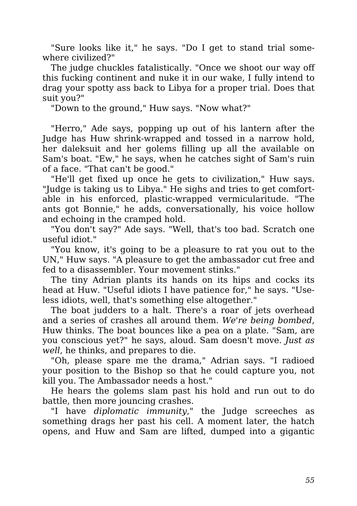"Sure looks like it," he says. "Do I get to stand trial somewhere civilized?"

The judge chuckles fatalistically. "Once we shoot our way off this fucking continent and nuke it in our wake, I fully intend to drag your spotty ass back to Libya for a proper trial. Does that suit you?"

"Down to the ground," Huw says. "Now what?"

"Herro," Ade says, popping up out of his lantern after the Judge has Huw shrink-wrapped and tossed in a narrow hold, her daleksuit and her golems filling up all the available on Sam's boat. "Ew," he says, when he catches sight of Sam's ruin of a face. "That can't be good."

"He'll get fixed up once he gets to civilization," Huw says. "Judge is taking us to Libya." He sighs and tries to get comfortable in his enforced, plastic-wrapped vermicularitude. "The ants got Bonnie," he adds, conversationally, his voice hollow and echoing in the cramped hold.

"You don't say?" Ade says. "Well, that's too bad. Scratch one useful idiot."

"You know, it's going to be a pleasure to rat you out to the UN," Huw says. "A pleasure to get the ambassador cut free and fed to a disassembler. Your movement stinks."

The tiny Adrian plants its hands on its hips and cocks its head at Huw. "Useful idiots I have patience for," he says. "Useless idiots, well, that's something else altogether."

The boat judders to a halt. There's a roar of jets overhead and a series of crashes all around them. *We're being bombed,* Huw thinks. The boat bounces like a pea on a plate. "Sam, are you conscious yet?" he says, aloud. Sam doesn't move. *Just as well,* he thinks, and prepares to die.

"Oh, please spare me the drama," Adrian says. "I radioed your position to the Bishop so that he could capture you, not kill you. The Ambassador needs a host."

He hears the golems slam past his hold and run out to do battle, then more jouncing crashes.

"I have *diplomatic immunity*," the Judge screeches as something drags her past his cell. A moment later, the hatch opens, and Huw and Sam are lifted, dumped into a gigantic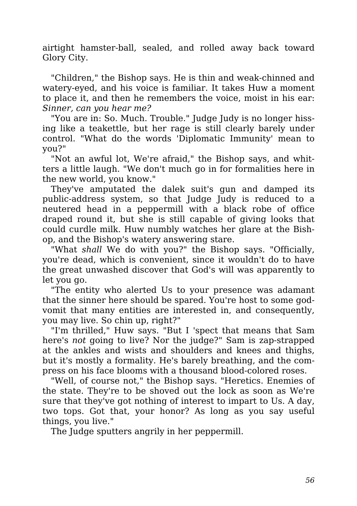airtight hamster-ball, sealed, and rolled away back toward Glory City.

"Children," the Bishop says. He is thin and weak-chinned and watery-eyed, and his voice is familiar. It takes Huw a moment to place it, and then he remembers the voice, moist in his ear: *Sinner, can you hear me?*

"You are in: So. Much. Trouble." Judge Judy is no longer hissing like a teakettle, but her rage is still clearly barely under control. "What do the words 'Diplomatic Immunity' mean to you?"

"Not an awful lot, We're afraid," the Bishop says, and whitters a little laugh. "We don't much go in for formalities here in the new world, you know."

They've amputated the dalek suit's gun and damped its public-address system, so that Judge Judy is reduced to a neutered head in a peppermill with a black robe of office draped round it, but she is still capable of giving looks that could curdle milk. Huw numbly watches her glare at the Bishop, and the Bishop's watery answering stare.

"What *shall* We do with you?" the Bishop says. "Officially, you're dead, which is convenient, since it wouldn't do to have the great unwashed discover that God's will was apparently to let you go.

"The entity who alerted Us to your presence was adamant that the sinner here should be spared. You're host to some godvomit that many entities are interested in, and consequently, you may live. So chin up, right?"

"I'm thrilled," Huw says. "But I 'spect that means that Sam here's *not* going to live? Nor the judge?" Sam is zap-strapped at the ankles and wists and shoulders and knees and thighs, but it's mostly a formality. He's barely breathing, and the compress on his face blooms with a thousand blood-colored roses.

"Well, of course not," the Bishop says. "Heretics. Enemies of the state. They're to be shoved out the lock as soon as We're sure that they've got nothing of interest to impart to Us. A day, two tops. Got that, your honor? As long as you say useful things, you live."

The Judge sputters angrily in her peppermill.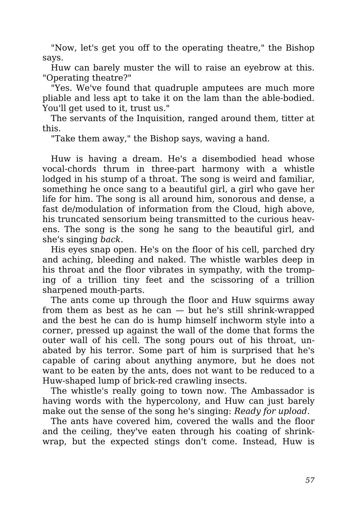"Now, let's get you off to the operating theatre," the Bishop says.

Huw can barely muster the will to raise an eyebrow at this. "Operating theatre?"

"Yes. We've found that quadruple amputees are much more pliable and less apt to take it on the lam than the able-bodied. You'll get used to it, trust us."

The servants of the Inquisition, ranged around them, titter at this.

"Take them away," the Bishop says, waving a hand.

Huw is having a dream. He's a disembodied head whose vocal-chords thrum in three-part harmony with a whistle lodged in his stump of a throat. The song is weird and familiar, something he once sang to a beautiful girl, a girl who gave her life for him. The song is all around him, sonorous and dense, a fast de/modulation of information from the Cloud, high above, his truncated sensorium being transmitted to the curious heavens. The song is the song he sang to the beautiful girl, and she's singing *back*.

His eyes snap open. He's on the floor of his cell, parched dry and aching, bleeding and naked. The whistle warbles deep in his throat and the floor vibrates in sympathy, with the tromping of a trillion tiny feet and the scissoring of a trillion sharpened mouth-parts.

The ants come up through the floor and Huw squirms away from them as best as he can — but he's still shrink-wrapped and the best he can do is hump himself inchworm style into a corner, pressed up against the wall of the dome that forms the outer wall of his cell. The song pours out of his throat, unabated by his terror. Some part of him is surprised that he's capable of caring about anything anymore, but he does not want to be eaten by the ants, does not want to be reduced to a Huw-shaped lump of brick-red crawling insects.

The whistle's really going to town now. The Ambassador is having words with the hypercolony, and Huw can just barely make out the sense of the song he's singing: *Ready for upload*.

The ants have covered him, covered the walls and the floor and the ceiling, they've eaten through his coating of shrinkwrap, but the expected stings don't come. Instead, Huw is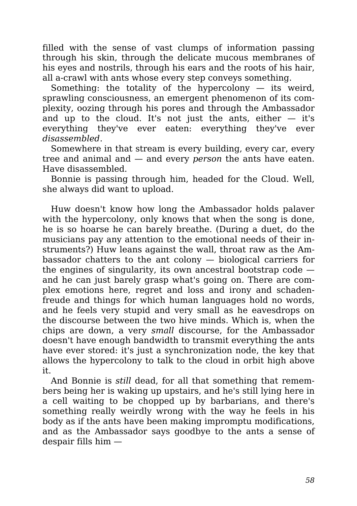filled with the sense of vast clumps of information passing through his skin, through the delicate mucous membranes of his eyes and nostrils, through his ears and the roots of his hair, all a-crawl with ants whose every step conveys something.

Something: the totality of the hypercolony — its weird, sprawling consciousness, an emergent phenomenon of its complexity, oozing through his pores and through the Ambassador and up to the cloud. It's not just the ants, either  $-$  it's everything they've ever eaten: everything they've ever *disassembled*.

Somewhere in that stream is every building, every car, every tree and animal and — and every *person* the ants have eaten. Have disassembled.

Bonnie is passing through him, headed for the Cloud. Well, she always did want to upload.

Huw doesn't know how long the Ambassador holds palaver with the hypercolony, only knows that when the song is done, he is so hoarse he can barely breathe. (During a duet, do the musicians pay any attention to the emotional needs of their instruments?) Huw leans against the wall, throat raw as the Ambassador chatters to the ant colony — biological carriers for the engines of singularity, its own ancestral bootstrap code and he can just barely grasp what's going on. There are complex emotions here, regret and loss and irony and schadenfreude and things for which human languages hold no words, and he feels very stupid and very small as he eavesdrops on the discourse between the two hive minds. Which is, when the chips are down, a very *small* discourse, for the Ambassador doesn't have enough bandwidth to transmit everything the ants have ever stored: it's just a synchronization node, the key that allows the hypercolony to talk to the cloud in orbit high above it.

And Bonnie is *still* dead, for all that something that remembers being her is waking up upstairs, and he's still lying here in a cell waiting to be chopped up by barbarians, and there's something really weirdly wrong with the way he feels in his body as if the ants have been making impromptu modifications, and as the Ambassador says goodbye to the ants a sense of despair fills him —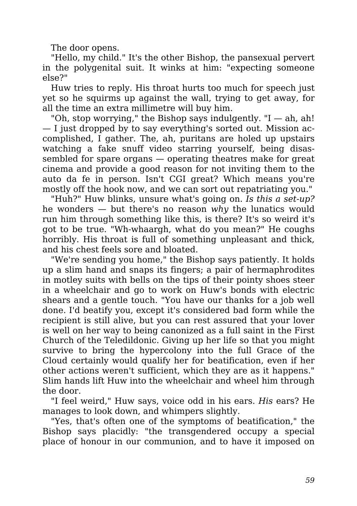The door opens.

"Hello, my child." It's the other Bishop, the pansexual pervert in the polygenital suit. It winks at him: "expecting someone else?"

Huw tries to reply. His throat hurts too much for speech just yet so he squirms up against the wall, trying to get away, for all the time an extra millimetre will buy him.

"Oh, stop worrying," the Bishop says indulgently. " $I - ah$ , ah! — I just dropped by to say everything's sorted out. Mission accomplished, I gather. The, ah, puritans are holed up upstairs watching a fake snuff video starring yourself, being disassembled for spare organs — operating theatres make for great cinema and provide a good reason for not inviting them to the auto da fe in person. Isn't CGI great? Which means you're mostly off the hook now, and we can sort out repatriating you."

"Huh?" Huw blinks, unsure what's going on. *Is this a set-up?* he wonders — but there's no reason *why* the lunatics would run him through something like this, is there? It's so weird it's got to be true. "Wh-whaargh, what do you mean?" He coughs horribly. His throat is full of something unpleasant and thick, and his chest feels sore and bloated.

"We're sending you home," the Bishop says patiently. It holds up a slim hand and snaps its fingers; a pair of hermaphrodites in motley suits with bells on the tips of their pointy shoes steer in a wheelchair and go to work on Huw's bonds with electric shears and a gentle touch. "You have our thanks for a job well done. I'd beatify you, except it's considered bad form while the recipient is still alive, but you can rest assured that your lover is well on her way to being canonized as a full saint in the First Church of the Teledildonic. Giving up her life so that you might survive to bring the hypercolony into the full Grace of the Cloud certainly would qualify her for beatification, even if her other actions weren't sufficient, which they are as it happens." Slim hands lift Huw into the wheelchair and wheel him through the door.

"I feel weird," Huw says, voice odd in his ears. *His* ears? He manages to look down, and whimpers slightly.

"Yes, that's often one of the symptoms of beatification," the Bishop says placidly: "the transgendered occupy a special place of honour in our communion, and to have it imposed on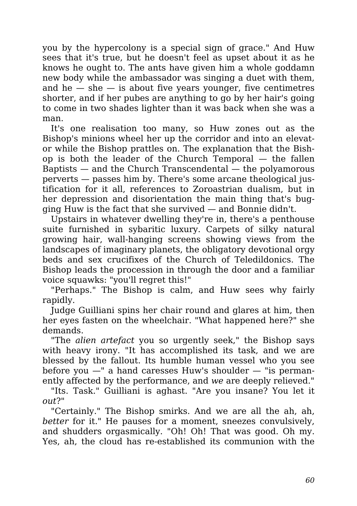you by the hypercolony is a special sign of grace." And Huw sees that it's true, but he doesn't feel as upset about it as he knows he ought to. The ants have given him a whole goddamn new body while the ambassador was singing a duet with them, and  $he$  — she — is about five years younger, five centimetres shorter, and if her pubes are anything to go by her hair's going to come in two shades lighter than it was back when she was a man.

It's one realisation too many, so Huw zones out as the Bishop's minions wheel her up the corridor and into an elevator while the Bishop prattles on. The explanation that the Bishop is both the leader of the Church Temporal — the fallen Baptists — and the Church Transcendental — the polyamorous perverts — passes him by. There's some arcane theological justification for it all, references to Zoroastrian dualism, but in her depression and disorientation the main thing that's bugging Huw is the fact that she survived — and Bonnie didn't.

Upstairs in whatever dwelling they're in, there's a penthouse suite furnished in sybaritic luxury. Carpets of silky natural growing hair, wall-hanging screens showing views from the landscapes of imaginary planets, the obligatory devotional orgy beds and sex crucifixes of the Church of Teledildonics. The Bishop leads the procession in through the door and a familiar voice squawks: "you'll regret this!"

"Perhaps." The Bishop is calm, and Huw sees why fairly rapidly.

Judge Guilliani spins her chair round and glares at him, then her eyes fasten on the wheelchair. "What happened here?" she demands.

"The *alien artefact* you so urgently seek," the Bishop says with heavy irony. "It has accomplished its task, and we are blessed by the fallout. Its humble human vessel who you see before you —" a hand caresses Huw's shoulder — "is permanently affected by the performance, and *we* are deeply relieved."

"Its. Task." Guilliani is aghast. "Are you insane? You let it *out*?"

"Certainly." The Bishop smirks. And we are all the ah, ah, *better* for it." He pauses for a moment, sneezes convulsively, and shudders orgasmically. "Oh! Oh! That was good. Oh my. Yes, ah, the cloud has re-established its communion with the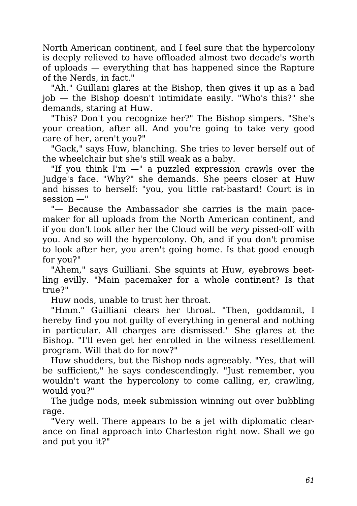North American continent, and I feel sure that the hypercolony is deeply relieved to have offloaded almost two decade's worth of uploads — everything that has happened since the Rapture of the Nerds, in fact."

"Ah." Guillani glares at the Bishop, then gives it up as a bad job — the Bishop doesn't intimidate easily. "Who's this?" she demands, staring at Huw.

"This? Don't you recognize her?" The Bishop simpers. "She's your creation, after all. And you're going to take very good care of her, aren't you?"

"Gack," says Huw, blanching. She tries to lever herself out of the wheelchair but she's still weak as a baby.

"If you think I'm  $-$ " a puzzled expression crawls over the Judge's face. "Why?" she demands. She peers closer at Huw and hisses to herself: "you, you little rat-bastard! Court is in session —"

"— Because the Ambassador she carries is the main pacemaker for all uploads from the North American continent, and if you don't look after her the Cloud will be *very* pissed-off with you. And so will the hypercolony. Oh, and if you don't promise to look after her, you aren't going home. Is that good enough for you?"

"Ahem," says Guilliani. She squints at Huw, eyebrows beetling evilly. "Main pacemaker for a whole continent? Is that true?"

Huw nods, unable to trust her throat.

"Hmm." Guilliani clears her throat. "Then, goddamnit, I hereby find you not guilty of everything in general and nothing in particular. All charges are dismissed." She glares at the Bishop. "I'll even get her enrolled in the witness resettlement program. Will that do for now?"

Huw shudders, but the Bishop nods agreeably. "Yes, that will be sufficient," he says condescendingly. "Just remember, you wouldn't want the hypercolony to come calling, er, crawling, would you?"

The judge nods, meek submission winning out over bubbling rage.

"Very well. There appears to be a jet with diplomatic clearance on final approach into Charleston right now. Shall we go and put you it?"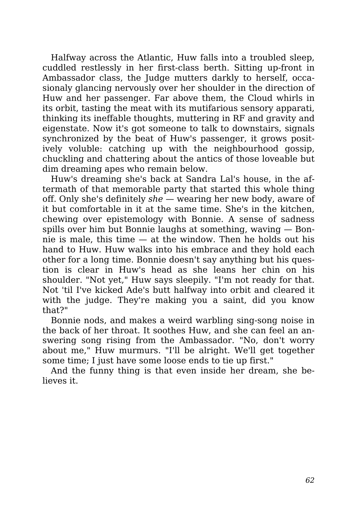Halfway across the Atlantic, Huw falls into a troubled sleep, cuddled restlessly in her first-class berth. Sitting up-front in Ambassador class, the Judge mutters darkly to herself, occasionaly glancing nervously over her shoulder in the direction of Huw and her passenger. Far above them, the Cloud whirls in its orbit, tasting the meat with its mutifarious sensory apparati, thinking its ineffable thoughts, muttering in RF and gravity and eigenstate. Now it's got someone to talk to downstairs, signals synchronized by the beat of Huw's passenger, it grows positively voluble: catching up with the neighbourhood gossip, chuckling and chattering about the antics of those loveable but dim dreaming apes who remain below.

Huw's dreaming she's back at Sandra Lal's house, in the aftermath of that memorable party that started this whole thing off. Only she's definitely *she* — wearing her new body, aware of it but comfortable in it at the same time. She's in the kitchen, chewing over epistemology with Bonnie. A sense of sadness spills over him but Bonnie laughs at something, waving — Bonnie is male, this time — at the window. Then he holds out his hand to Huw. Huw walks into his embrace and they hold each other for a long time. Bonnie doesn't say anything but his question is clear in Huw's head as she leans her chin on his shoulder. "Not yet," Huw says sleepily. "I'm not ready for that. Not 'til I've kicked Ade's butt halfway into orbit and cleared it with the judge. They're making you a saint, did you know that?"

Bonnie nods, and makes a weird warbling sing-song noise in the back of her throat. It soothes Huw, and she can feel an answering song rising from the Ambassador. "No, don't worry about me," Huw murmurs. "I'll be alright. We'll get together some time; I just have some loose ends to tie up first."

And the funny thing is that even inside her dream, she believes it.